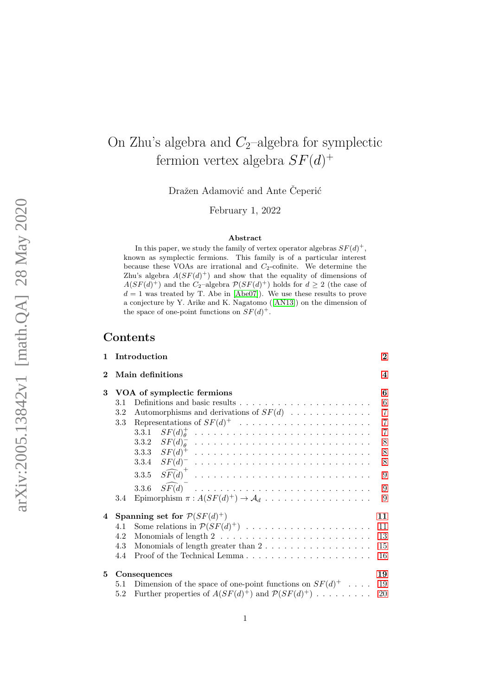# <span id="page-0-0"></span>On Zhu's algebra and  $C_2$ -algebra for symplectic fermion vertex algebra  $SF(d)^+$

Dražen Adamović and Ante Ceperić

February 1, 2022

#### Abstract

In this paper, we study the family of vertex operator algebras  $SF(d)^+$ , known as symplectic fermions. This family is of a particular interest because these VOAs are irrational and  $C_2$ -cofinite. We determine the Zhu's algebra  $A(SF(d)^+)$  and show that the equality of dimensions of  $A(SF(d)^+)$  and the C<sub>2</sub>-algebra  $\mathcal{P}(SF(d)^+)$  holds for  $d \geq 2$  (the case of  $d = 1$  was treated by T. Abe in [\[Abe07\]](#page-22-0)). We use these results to prove a conjecture by Y. Arike and K. Nagatomo ([\[AN13\]](#page-23-0)) on the dimension of the space of one-point functions on  $SF(d)^+$ .

## Contents

| $\mathbf{1}$ |         | Introduction                                                                               | $\bf{2}$       |
|--------------|---------|--------------------------------------------------------------------------------------------|----------------|
| $\mathbf 2$  |         | Main definitions                                                                           | 4              |
| 3            |         | VOA of symplectic fermions                                                                 | 6              |
|              | 3.1     |                                                                                            | $\,6\,$        |
|              | 3.2     | Automorphisms and derivations of $SF(d)$                                                   | $\overline{7}$ |
|              | 3.3     |                                                                                            | $\overline{7}$ |
|              |         |                                                                                            | $\overline{7}$ |
|              |         |                                                                                            | $8\,$          |
|              |         |                                                                                            | $8\,$          |
|              |         |                                                                                            | 8              |
|              |         |                                                                                            | 9              |
|              |         | $\widehat{SF(d)}$<br>3.3.6                                                                 | 9              |
|              | 3.4     | Epimorphism $\pi : A(SF(d)^+) \to \mathcal{A}_d \ldots \ldots \ldots \ldots \ldots \ldots$ | 9              |
| 4            |         | Spanning set for $\mathcal{P}(SF(d)^+)$                                                    | 11             |
|              | 4.1     |                                                                                            | 11             |
|              | 4.2     |                                                                                            | 13             |
|              | 4.3     | Monomials of length greater than $2 \ldots \ldots \ldots \ldots \ldots$                    | 15             |
|              | 4.4     |                                                                                            | 16             |
| 5            |         | Consequences                                                                               | 19             |
|              | 5.1     | Dimension of the space of one-point functions on $SF(d)^+$                                 | 19             |
|              | $5.2\,$ | Further properties of $A(SF(d)^+)$ and $\mathcal{P}(SF(d)^+)$                              | <b>20</b>      |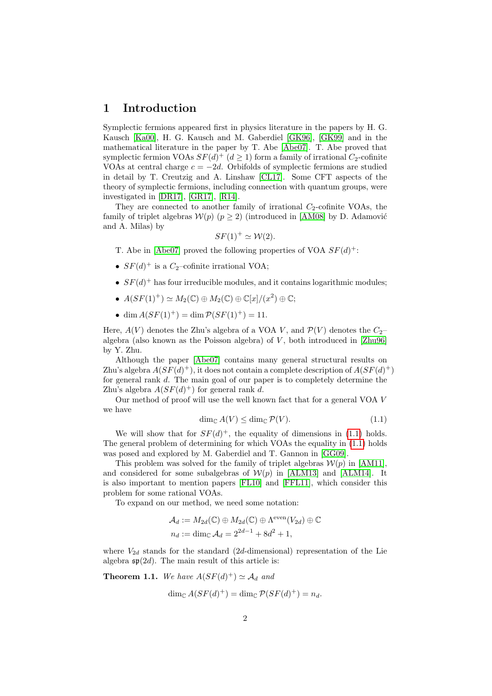### <span id="page-1-0"></span>1 Introduction

Symplectic fermions appeared first in physics literature in the papers by H. G. Kausch [\[Ka00\]](#page-24-0), H. G. Kausch and M. Gaberdiel [\[GK96\]](#page-23-1), [\[GK99\]](#page-23-2) and in the mathematical literature in the paper by T. Abe [\[Abe07\]](#page-22-0). T. Abe proved that symplectic fermion VOAs  $SF(d)^+$  ( $d \geq 1$ ) form a family of irrational  $C_2$ -cofinite VOAs at central charge  $c = -2d$ . Orbifolds of symplectic fermions are studied in detail by T. Creutzig and A. Linshaw [\[CL17\]](#page-23-3). Some CFT aspects of the theory of symplectic fermions, including connection with quantum groups, were investigated in [\[DR17\]](#page-23-4), [\[GR17\]](#page-24-1), [\[R14\]](#page-24-2).

They are connected to another family of irrational  $C_2$ -cofinite VOAs, the family of triplet algebras  $W(p)$  ( $p \ge 2$ ) (introduced in [\[AM08\]](#page-23-5) by D. Adamović and A. Milas) by

$$
SF(1)^{+} \simeq \mathcal{W}(2).
$$

- T. Abe in [\[Abe07\]](#page-22-0) proved the following properties of VOA  $SF(d)^+$ :
- $SF(d)^+$  is a  $C_2$ -cofinite irrational VOA;
- $SF(d)^+$  has four irreducible modules, and it contains logarithmic modules;
- $A(SF(1)^+) \simeq M_2(\mathbb{C}) \oplus M_2(\mathbb{C}) \oplus \mathbb{C}[x]/(x^2) \oplus \mathbb{C};$
- dim  $A(SF(1)^+) = \dim \mathcal{P}(SF(1)^+) = 11$ .

Here,  $A(V)$  denotes the Zhu's algebra of a VOA V, and  $\mathcal{P}(V)$  denotes the  $C_2$ algebra (also known as the Poisson algebra) of  $V$ , both introduced in [\[Zhu96\]](#page-24-3) by Y. Zhu.

Although the paper [\[Abe07\]](#page-22-0) contains many general structural results on Zhu's algebra  $A(SF(d)^+)$ , it does not contain a complete description of  $A(SF(d)^+)$ for general rank d. The main goal of our paper is to completely determine the Zhu's algebra  $A(SF(d)^+)$  for general rank d.

<span id="page-1-1"></span>Our method of proof will use the well known fact that for a general VOA V we have

$$
\dim_{\mathbb{C}} A(V) \le \dim_{\mathbb{C}} \mathcal{P}(V). \tag{1.1}
$$

We will show that for  $SF(d)^+$ , the equality of dimensions in [\(1.1\)](#page-1-1) holds. The general problem of determining for which VOAs the equality in [\(1.1\)](#page-1-1) holds was posed and explored by M. Gaberdiel and T. Gannon in [\[GG09\]](#page-23-6).

This problem was solved for the family of triplet algebras  $\mathcal{W}(p)$  in [\[AM11\]](#page-23-7), and considered for some subalgebras of  $W(p)$  in [\[ALM13\]](#page-22-1) and [\[ALM14\]](#page-22-2). It is also important to mention papers [\[FL10\]](#page-23-8) and [\[FFL11\]](#page-23-9), which consider this problem for some rational VOAs.

To expand on our method, we need some notation:

$$
\mathcal{A}_d := M_{2d}(\mathbb{C}) \oplus M_{2d}(\mathbb{C}) \oplus \Lambda^{\text{even}}(V_{2d}) \oplus \mathbb{C}
$$
  

$$
n_d := \dim_{\mathbb{C}} \mathcal{A}_d = 2^{2d-1} + 8d^2 + 1,
$$

where  $V_{2d}$  stands for the standard (2d-dimensional) representation of the Lie algebra  $\mathfrak{sp}(2d)$ . The main result of this article is:

<span id="page-1-2"></span>**Theorem 1.1.** We have 
$$
A(SF(d)^+) \simeq A_d
$$
 and  
\n
$$
\dim_{\mathbb{C}} A(SF(d)^+) = \dim_{\mathbb{C}} \mathcal{P}(SF(d)^+) = n_d.
$$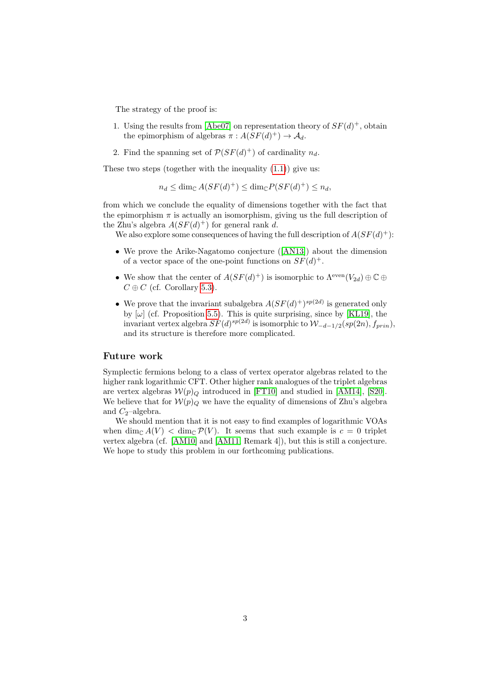The strategy of the proof is:

- 1. Using the results from [\[Abe07\]](#page-22-0) on representation theory of  $SF(d)^+$ , obtain the epimorphism of algebras  $\pi : A(SF(d)^+) \to \mathcal{A}_d$ .
- 2. Find the spanning set of  $\mathcal{P}(SF(d)^+)$  of cardinality  $n_d$ .

These two steps (together with the inequality  $(1.1)$ ) give us:

 $n_d \leq \dim_{\mathbb{C}} A(SF(d)^+) \leq \dim_{\mathbb{C}} P(SF(d)^+) \leq n_d,$ 

from which we conclude the equality of dimensions together with the fact that the epimorphism  $\pi$  is actually an isomorphism, giving us the full description of the Zhu's algebra  $A(SF(d)^+)$  for general rank d.

We also explore some consequences of having the full description of  $A(SF(d)^+)$ :

- We prove the Arike-Nagatomo conjecture ([\[AN13\]](#page-23-0)) about the dimension of a vector space of the one-point functions on  $SF(d)^+$ .
- We show that the center of  $A(SF(d)^+)$  is isomorphic to  $\Lambda^{\text{even}}(V_{2d}) \oplus \mathbb{C} \oplus$  $C \oplus C$  (cf. Corollary [5.3\)](#page-0-0).
- We prove that the invariant subalgebra  $A(SF(d)^+)^{sp(2d)}$  is generated only by  $[\omega]$  (cf. Proposition [5.5\)](#page-20-0). This is quite surprising, since by [\[KL19\]](#page-24-4), the invariant vertex algebra  $SF(d)^{sp(2d)}$  is isomorphic to  $\mathcal{W}_{-d-1/2}(sp(2n), f_{prin}),$ and its structure is therefore more complicated.

### Future work

Symplectic fermions belong to a class of vertex operator algebras related to the higher rank logarithmic CFT. Other higher rank analogues of the triplet algebras are vertex algebras  $W(p)_{Q}$  introduced in [\[FT10\]](#page-23-10) and studied in [\[AM14\]](#page-23-11), [\[S20\]](#page-24-5). We believe that for  $W(p)_{Q}$  we have the equality of dimensions of Zhu's algebra and  $C_2$ -algebra.

We should mention that it is not easy to find examples of logarithmic VOAs when  $\dim_{\mathbb{C}} A(V) < \dim_{\mathbb{C}} \mathcal{P}(V)$ . It seems that such example is  $c = 0$  triplet vertex algebra (cf. [\[AM10\]](#page-23-12) and [\[AM11,](#page-23-7) Remark 4]), but this is still a conjecture. We hope to study this problem in our forthcoming publications.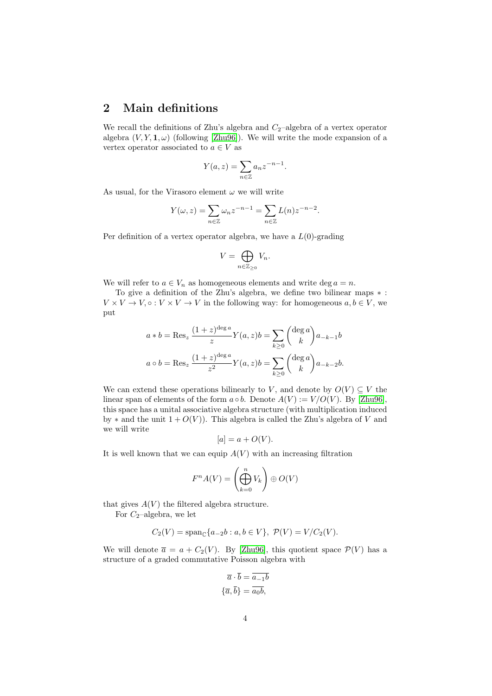## <span id="page-3-0"></span>2 Main definitions

We recall the definitions of Zhu's algebra and  $C_2$ -algebra of a vertex operator algebra  $(V, Y, \mathbf{1}, \omega)$  (following [\[Zhu96\]](#page-24-3)). We will write the mode expansion of a vertex operator associated to  $a \in V$  as

$$
Y(a, z) = \sum_{n \in \mathbb{Z}} a_n z^{-n-1}.
$$

As usual, for the Virasoro element  $\omega$  we will write

$$
Y(\omega, z) = \sum_{n \in \mathbb{Z}} \omega_n z^{-n-1} = \sum_{n \in \mathbb{Z}} L(n) z^{-n-2}.
$$

Per definition of a vertex operator algebra, we have a  $L(0)$ -grading

$$
V = \bigoplus_{n \in \mathbb{Z}_{\geq 0}} V_n.
$$

We will refer to  $a \in V_n$  as homogeneous elements and write deg  $a = n$ .

To give a definition of the Zhu's algebra, we define two bilinear maps ∗ :  $V \times V \to V, \circ : V \times V \to V$  in the following way: for homogeneous  $a, b \in V$ , we put

$$
a * b = \text{Res}_{z} \frac{(1+z)^{\text{deg }a}}{z} Y(a, z) b = \sum_{k \ge 0} {\text{deg }a \choose k} a_{-k-1}b
$$

$$
a \circ b = \text{Res}_{z} \frac{(1+z)^{\text{deg }a}}{z^{2}} Y(a, z) b = \sum_{k \ge 0} {\text{deg }a \choose k} a_{-k-2}b.
$$

We can extend these operations bilinearly to V, and denote by  $O(V) \subseteq V$  the linear span of elements of the form  $a \circ b$ . Denote  $A(V) := V/O(V)$ . By [\[Zhu96\]](#page-24-3), this space has a unital associative algebra structure (with multiplication induced by  $*$  and the unit  $1 + O(V)$ ). This algebra is called the Zhu's algebra of V and we will write

$$
[a] = a + O(V).
$$

It is well known that we can equip  $A(V)$  with an increasing filtration

$$
F^n A(V) = \left(\bigoplus_{k=0}^n V_k\right) \oplus O(V)
$$

that gives  $A(V)$  the filtered algebra structure.

For  $C_2$ -algebra, we let

$$
C_2(V) = \text{span}_{\mathbb{C}}\{a_{-2}b : a, b \in V\}, \ \mathcal{P}(V) = V/C_2(V).
$$

We will denote  $\bar{a} = a + C_2(V)$ . By [\[Zhu96\]](#page-24-3), this quotient space  $\mathcal{P}(V)$  has a structure of a graded commutative Poisson algebra with

$$
\overline{a} \cdot \overline{b} = \overline{a_{-1}b}
$$

$$
\{\overline{a}, \overline{b}\} = \overline{a_0b},
$$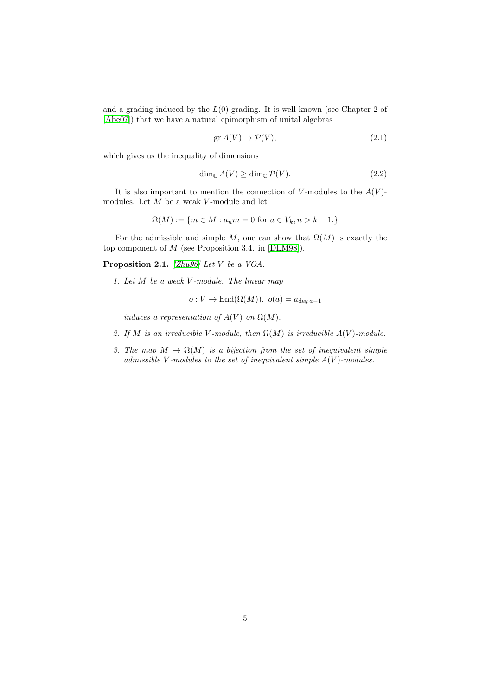and a grading induced by the  $L(0)$ -grading. It is well known (see Chapter 2 of [\[Abe07\]](#page-22-0)) that we have a natural epimorphism of unital algebras

<span id="page-4-0"></span>
$$
\operatorname{gr} A(V) \to \mathcal{P}(V),\tag{2.1}
$$

which gives us the inequality of dimensions

$$
\dim_{\mathbb{C}} A(V) \ge \dim_{\mathbb{C}} \mathcal{P}(V). \tag{2.2}
$$

It is also important to mention the connection of V-modules to the  $A(V)$ modules. Let  $M$  be a weak  $V$ -module and let

$$
\Omega(M) := \{ m \in M : a_n m = 0 \text{ for } a \in V_k, n > k - 1 \}
$$

For the admissible and simple M, one can show that  $\Omega(M)$  is exactly the top component of M (see Proposition 3.4. in [\[DLM98\]](#page-23-13)).

Proposition 2.1. [\[Zhu96\]](#page-24-3) Let V be a VOA.

1. Let  $M$  be a weak  $V$ -module. The linear map

$$
o: V \to \text{End}(\Omega(M)), o(a) = a_{\deg a - 1}
$$

induces a representation of  $A(V)$  on  $\Omega(M)$ .

- 2. If M is an irreducible V-module, then  $\Omega(M)$  is irreducible  $A(V)$ -module.
- 3. The map  $M \to \Omega(M)$  is a bijection from the set of inequivalent simple admissible V-modules to the set of inequivalent simple  $A(V)$ -modules.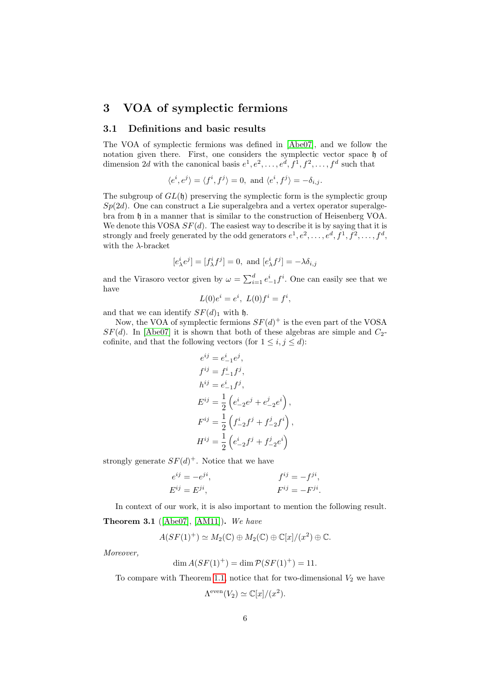## <span id="page-5-0"></span>3 VOA of symplectic fermions

### <span id="page-5-1"></span>3.1 Definitions and basic results

The VOA of symplectic fermions was defined in [\[Abe07\]](#page-22-0), and we follow the notation given there. First, one considers the symplectic vector space  $\mathfrak h$  of dimension 2d with the canonical basis  $e^1, e^2, \ldots, e^d, f^1, f^2, \ldots, f^d$  such that

$$
\langle e^i, e^j \rangle = \langle f^i, f^j \rangle = 0, \text{ and } \langle e^i, f^j \rangle = -\delta_{i,j}.
$$

The subgroup of  $GL(\mathfrak{h})$  preserving the symplectic form is the symplectic group  $Sp(2d)$ . One can construct a Lie superalgebra and a vertex operator superalgebra from h in a manner that is similar to the construction of Heisenberg VOA. We denote this VOSA  $SF(d)$ . The easiest way to describe it is by saying that it is strongly and freely generated by the odd generators  $e^1, e^2, \ldots, e^d, f^1, f^2, \ldots, f^d$ , with the  $\lambda$ -bracket

$$
[e^i_\lambda e^j] = [f^i_\lambda f^j] = 0, \text{ and } [e^i_\lambda f^j] = -\lambda \delta_{i,j}
$$

and the Virasoro vector given by  $\omega = \sum_{i=1}^{d} e^i_{-1} f^i$ . One can easily see that we have

$$
L(0)e^i = e^i, \ L(0)f^i = f^i,
$$

and that we can identify  $SF(d)<sub>1</sub>$  with h.

Now, the VOA of symplectic fermions  $SF(d)^+$  is the even part of the VOSA  $SF(d)$ . In [\[Abe07\]](#page-22-0) it is shown that both of these algebras are simple and  $C_2$ cofinite, and that the following vectors (for  $1 \leq i, j \leq d$ ):

$$
e^{ij} = e_{-1}^{i}e^{j},
$$
  
\n
$$
f^{ij} = f_{-1}^{i}f^{j},
$$
  
\n
$$
h^{ij} = e_{-1}^{i}f^{j},
$$
  
\n
$$
E^{ij} = \frac{1}{2} \left( e_{-2}^{i}e^{j} + e_{-2}^{j}e^{i} \right),
$$
  
\n
$$
F^{ij} = \frac{1}{2} \left( f_{-2}^{i}f^{j} + f_{-2}^{j}f^{i} \right),
$$
  
\n
$$
H^{ij} = \frac{1}{2} \left( e_{-2}^{i}f^{j} + f_{-2}^{j}e^{i} \right)
$$

strongly generate  $SF(d)^+$ . Notice that we have

$$
e^{ij} = -e^{ji},
$$
  
\n
$$
F^{ij} = F^{ji},
$$
  
\n
$$
F^{ij} = -F^{ji},
$$
  
\n
$$
F^{ij} = -F^{ji}.
$$

In context of our work, it is also important to mention the following result.

**Theorem 3.1** ( $[Abe07]$ ,  $[AM11]$ ). We have

$$
A(SF(1)^+) \simeq M_2(\mathbb{C}) \oplus M_2(\mathbb{C}) \oplus \mathbb{C}[x]/(x^2) \oplus \mathbb{C}.
$$

Moreover,

$$
\dim A(SF(1)^+) = \dim \mathcal{P}(SF(1)^+) = 11.
$$

To compare with Theorem [1.1,](#page-1-2) notice that for two-dimensional  $V_2$  we have

 $\Lambda^{\text{even}}(V_2) \simeq \mathbb{C}[x]/(x^2).$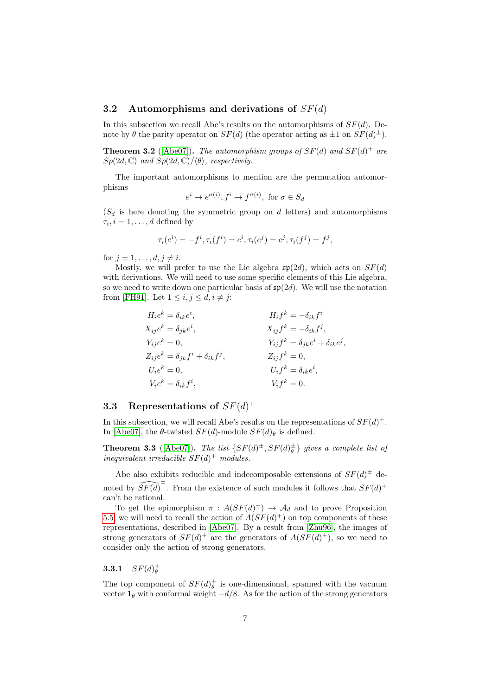### <span id="page-6-0"></span>3.2 Automorphisms and derivations of  $SF(d)$

In this subsection we recall Abe's results on the automorphisms of  $SF(d)$ . Denote by  $\theta$  the parity operator on  $SF(d)$  (the operator acting as  $\pm 1$  on  $SF(d)^{\pm}$ ).

**Theorem 3.2** ([\[Abe07\]](#page-22-0)). The automorphism groups of  $SF(d)$  and  $SF(d)^+$  are  $Sp(2d, \mathbb{C})$  and  $Sp(2d, \mathbb{C})/\langle \theta \rangle$ , respectively.

The important automorphisms to mention are the permutation automorphisms

$$
e^i \mapsto e^{\sigma(i)}, f^i \mapsto f^{\sigma(i)}, \text{ for } \sigma \in S_d
$$

 $(S_d$  is here denoting the symmetric group on d letters) and automorphisms  $\tau_i, i = 1, \ldots, d$  defined by

$$
\tau_i(e^i) = -f^i, \tau_i(f^i) = e^i, \tau_i(e^j) = e^j, \tau_i(f^j) = f^j,
$$

for  $j = 1, \ldots, d, j \neq i$ .

Mostly, we will prefer to use the Lie algebra  $\mathfrak{sp}(2d)$ , which acts on  $SF(d)$ with derivations. We will need to use some specific elements of this Lie algebra, so we need to write down one particular basis of  $\mathfrak{sp}(2d)$ . We will use the notation from [\[FH91\]](#page-23-14). Let  $1 \leq i, j \leq d, i \neq j$ :

$$
H_i e^k = \delta_{ik} e^i,
$$
  
\n
$$
X_{ij} e^k = \delta_{jk} e^i,
$$
  
\n
$$
Y_{ij} e^k = 0,
$$
  
\n
$$
Z_{ij} e^k = \delta_{jk} f^i + \delta_{ik} f^j,
$$
  
\n
$$
V_i e^k = 0,
$$
  
\n
$$
V_i e^k = \delta_{ik} f^i,
$$
  
\n
$$
V_i e^k = \delta_{ik} f^i,
$$
  
\n
$$
V_i f^k = \delta_{ik} e^i,
$$
  
\n
$$
V_i f^k = \delta_{ik} e^i,
$$
  
\n
$$
V_i f^k = 0.
$$

## <span id="page-6-1"></span>3.3 Representations of  $SF(d)^+$

In this subsection, we will recall Abe's results on the representations of  $SF(d)^+$ . In [\[Abe07\]](#page-22-0), the  $\theta$ -twisted  $SF(d)$ -module  $SF(d)_{\theta}$  is defined.

**Theorem 3.3** ([\[Abe07\]](#page-22-0)). The list  $\{SF(d)^{\pm}, SF(d)^{\pm}_{\theta}\}$  gives a complete list of inequivalent irreducible  $SF(d)^+$  modules.

Abe also exhibits reducible and indecomposable extensions of  $SF(d)^{\pm}$  denoted by  $\widehat{SF(d)}^{\pm}$ . From the existence of such modules it follows that  $SF(d)^+$ can't be rational.

To get the epimorphism  $\pi$ :  $A(SF(d)^+) \to \mathcal{A}_d$  and to prove Proposition [5.5,](#page-20-0) we will need to recall the action of  $A(SF(d)^+)$  on top components of these representations, described in [\[Abe07\]](#page-22-0). By a result from [\[Zhu96\]](#page-24-3), the images of strong generators of  $SF(d)^+$  are the generators of  $A(SF(d)^+)$ , so we need to consider only the action of strong generators.

<span id="page-6-2"></span>**3.3.1**  $SF(d)_{\theta}^{+}$ 

The top component of  $SF(d)_{\theta}^+$  is one-dimensional, spanned with the vacuum vector  $\mathbf{1}_{\theta}$  with conformal weight  $-d/8$ . As for the action of the strong generators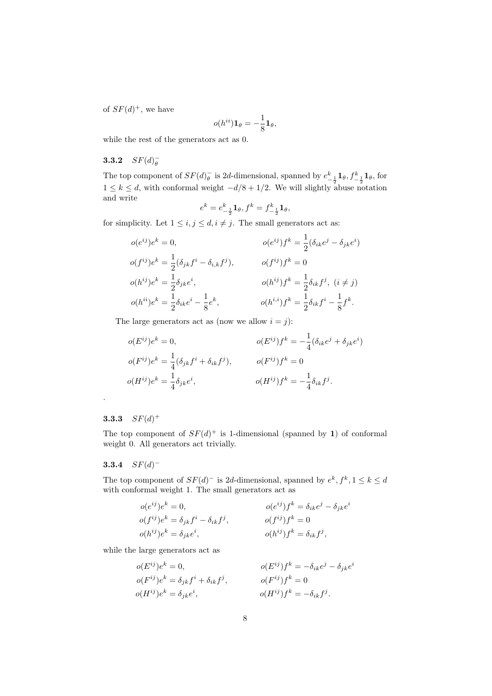of  $SF(d)^+$ , we have

$$
o(h^{ii})\mathbf{1}_{\theta}=-\frac{1}{8}\mathbf{1}_{\theta},
$$

while the rest of the generators act as 0.

## <span id="page-7-0"></span>**3.3.2**  $SF(d)_{\theta}^{-}$

The top component of  $SF(d)_{\theta}^-$  is 2d-dimensional, spanned by  $e_{-\frac{1}{2}}^k \mathbf{1}_{\theta}$ ,  $f_{-\frac{1}{2}}^k \mathbf{1}_{\theta}$ , for  $1 \leq k \leq d$ , with conformal weight  $-d/8 + 1/2$ . We will slightly abuse notation and write

$$
e^k = e^k_{-\frac{1}{2}} \mathbf{1}_{\theta}, f^k = f^k_{-\frac{1}{2}} \mathbf{1}_{\theta},
$$

for simplicity. Let  $1 \leq i, j \leq d, i \neq j$ . The small generators act as:

$$
o(e^{ij})e^k = 0, \t o(e^{ij})f^k = \frac{1}{2}(\delta_{ik}e^j - \delta_{jk}e^i)
$$
  
\n
$$
o(f^{ij})e^k = \frac{1}{2}(\delta_{jk}f^i - \delta_{i,k}f^j), \t o(f^{ij})f^k = 0
$$
  
\n
$$
o(h^{ij})e^k = \frac{1}{2}\delta_{jk}e^i, \t o(h^{ij})f^k = \frac{1}{2}\delta_{ik}f^j, \t (i \neq j)
$$
  
\n
$$
o(h^{ij})e^k = \frac{1}{2}\delta_{ik}e^i - \frac{1}{8}e^k, \t o(h^{i,j})f^k = \frac{1}{2}\delta_{ik}f^i - \frac{1}{8}f^k.
$$

The large generators act as (now we allow  $i = j$ ):

$$
o(E^{ij})e^k = 0,
$$
  
\n
$$
o(F^{ij})e^k = \frac{1}{4}(\delta_{jk}f^i + \delta_{ik}f^j),
$$
  
\n
$$
o(F^{ij})e^k = \frac{1}{4}(\delta_{jk}f^i + \delta_{ik}f^j),
$$
  
\n
$$
o(F^{ij})f^k = 0
$$
  
\n
$$
o(H^{ij})e^k = \frac{1}{4}\delta_{jk}e^i,
$$
  
\n
$$
o(H^{ij})f^k = -\frac{1}{4}\delta_{ik}f^j.
$$

### <span id="page-7-1"></span>**3.3.3**  $SF(d)^+$

.

The top component of  $SF(d)^+$  is 1-dimensional (spanned by 1) of conformal weight 0. All generators act trivially.

### <span id="page-7-2"></span>3.3.4  $SF(d)^-$

The top component of  $SF(d)^-$  is 2d-dimensional, spanned by  $e^k$ ,  $f^k$ ,  $1 \leq k \leq d$ with conformal weight 1. The small generators act as

$$
o(e^{ij})e^k = 0,
$$
  
\n
$$
o(f^{ij})e^k = \delta_{jk}f^i - \delta_{ik}f^j,
$$
  
\n
$$
o(f^{ij})e^k = \delta_{jk}f^i - \delta_{ik}f^j,
$$
  
\n
$$
o(h^{ij})e^k = \delta_{jk}e^i,
$$
  
\n
$$
o(h^{ij})f^k = 0
$$
  
\n
$$
o(h^{ij})f^k = \delta_{ik}f^j,
$$

while the large generators act as

$$
o(E^{ij})e^k = 0,
$$
  
\n
$$
o(F^{ij})e^k = \delta_{jk}f^i + \delta_{ik}f^j,
$$
  
\n
$$
o(F^{ij})e^k = \delta_{jk}e^i,
$$
  
\n
$$
o(F^{ij})f^k = 0
$$
  
\n
$$
o(F^{ij})f^k = 0
$$
  
\n
$$
o(F^{ij})f^k = -\delta_{ik}f^j.
$$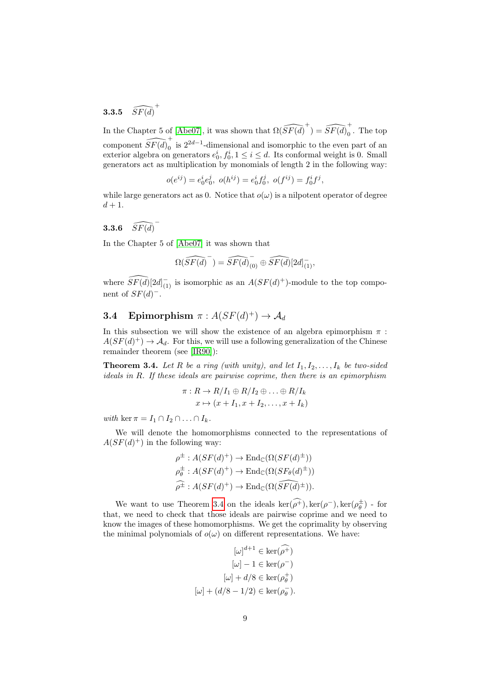<span id="page-8-0"></span>**3.3.5**  $\widehat{SF(d)}^+$ 

In the Chapter 5 of [\[Abe07\]](#page-22-0), it was shown that  $\Omega(\widehat{SF(d)}^+) = \widehat{SF(d)}_0^+$  $_0$ . The top component  $\widehat{SF(d)}_0^+$  $<sup>0</sup>$  is 2<sup>2d−1</sup>-dimensional and isomorphic to the even part of an</sup> exterior algebra on generators  $e_0^i, f_0^i, 1 \le i \le d$ . Its conformal weight is 0. Small generators act as multiplication by monomials of length 2 in the following way:

$$
o(e^{ij}) = e_0^i e_0^j, \ o(h^{ij}) = e_0^i f_0^j, \ o(f^{ij}) = f_0^i f^j,
$$

while large generators act as 0. Notice that  $o(\omega)$  is a nilpotent operator of degree  $d+1$ .

## <span id="page-8-1"></span>**3.3.6**  $\widehat{SF(d)}$

In the Chapter 5 of [\[Abe07\]](#page-22-0) it was shown that

$$
\Omega(\widehat{SF(d)}^{-}) = \widehat{SF(d)}_{(0)}^{-} \oplus \widehat{SF(d)}[2d]_{(1)}^{-},
$$

where  $\widehat{SF(d)}[2d]_{(1)}^-$  is isomorphic as an  $A(SF(d)^+)$ -module to the top component of  $SF(d)^-$ .

## <span id="page-8-2"></span>**3.4** Epimorphism  $\pi : A(SF(d)^+) \to \mathcal{A}_d$

In this subsection we will show the existence of an algebra epimorphism  $\pi$ :  $A(SF(d)^+) \to \mathcal{A}_d$ . For this, we will use a following generalization of the Chinese remainder theorem (see [\[IR90\]](#page-24-6)):

<span id="page-8-3"></span>**Theorem 3.4.** Let R be a ring (with unity), and let  $I_1, I_2, \ldots, I_k$  be two-sided ideals in R. If these ideals are pairwise coprime, then there is an epimorphism

$$
\pi: R \to R/I_1 \oplus R/I_2 \oplus \ldots \oplus R/I_k
$$

$$
x \mapsto (x + I_1, x + I_2, \ldots, x + I_k)
$$

with ker  $\pi = I_1 \cap I_2 \cap \ldots \cap I_k$ .

We will denote the homomorphisms connected to the representations of  $A(SF(d)^+)$  in the following way:

$$
\rho^{\pm}: A(SF(d)^+) \to \text{End}_{\mathbb{C}}(\Omega(SF(d)^{\pm}))
$$
  
\n
$$
\rho_{\theta}^{\pm}: A(SF(d)^+) \to \text{End}_{\mathbb{C}}(\Omega(SF_{\theta}(d)^{\pm}))
$$
  
\n
$$
\widehat{\rho^{\pm}}: A(SF(d)^+) \to \text{End}_{\mathbb{C}}(\Omega(\widehat{SF(d)^{\pm}})).
$$

We want to use Theorem [3.4](#page-8-3) on the ideals  $\ker(\widehat{\rho^+})$ ,  $\ker(\rho^-)$ ,  $\ker(\rho_{\theta}^{\pm})$  - for that, we need to check that those ideals are pairwise coprime and we need to know the images of these homomorphisms. We get the coprimality by observing the minimal polynomials of  $o(\omega)$  on different representations. We have:

$$
[\omega]^{d+1} \in \ker(\rho^+)
$$

$$
[\omega] - 1 \in \ker(\rho^-)
$$

$$
[\omega] + d/8 \in \ker(\rho^+_\theta)
$$

$$
[\omega] + (d/8 - 1/2) \in \ker(\rho^-_\theta).
$$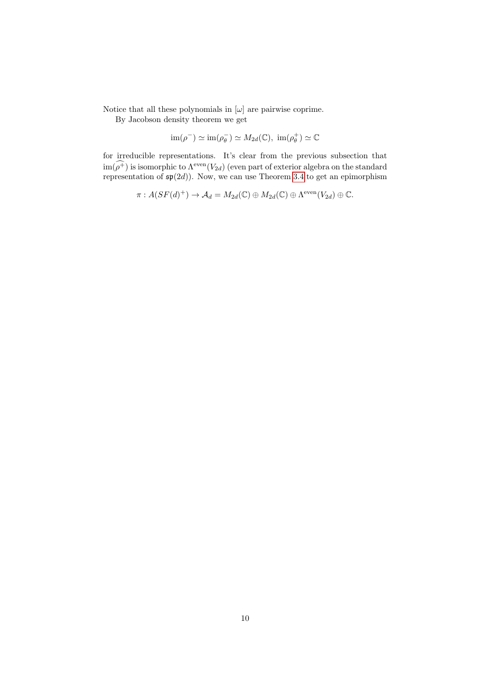Notice that all these polynomials in  $[\omega]$  are pairwise coprime.

By Jacobson density theorem we get

$$
im(\rho^{-}) \simeq im(\rho_{\theta}^{-}) \simeq M_{2d}(\mathbb{C}), im(\rho_{\theta}^{+}) \simeq \mathbb{C}
$$

for irreducible representations. It's clear from the previous subsection that  $\text{im}(\widehat{\rho^+})$  is isomorphic to  $\Lambda^{\text{even}}(V_{2d})$  (even part of exterior algebra on the standard representation of  $\mathfrak{sp}(2d)$ ). Now, we can use Theorem [3.4](#page-8-3) to get an epimorphism

$$
\pi: A(SF(d)^+) \to \mathcal{A}_d = M_{2d}(\mathbb{C}) \oplus M_{2d}(\mathbb{C}) \oplus \Lambda^{\text{even}}(V_{2d}) \oplus \mathbb{C}.
$$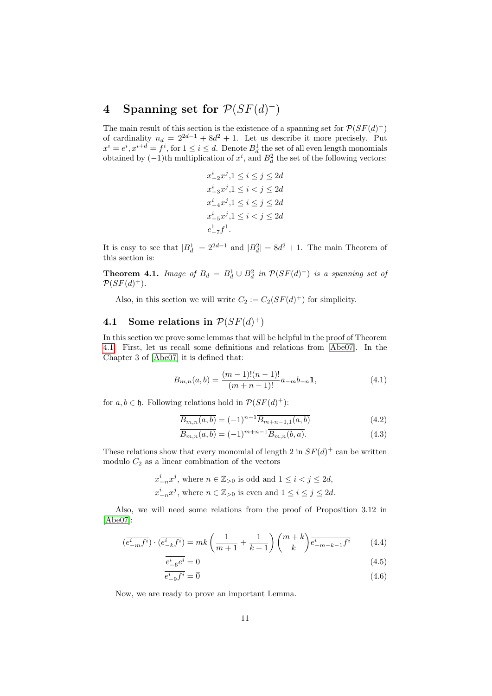## <span id="page-10-0"></span>4 Spanning set for  $\mathcal{P}(SF(d)^+)$

The main result of this section is the existence of a spanning set for  $\mathcal{P}(SF(d)^+)$ of cardinality  $n_d = 2^{2d-1} + 8d^2 + 1$ . Let us describe it more precisely. Put  $x^i = e^i, x^{i+d} = f^i$ , for  $1 \le i \le d$ . Denote  $B_d^1$  the set of all even length monomials obtained by  $(-1)$ th multiplication of  $x^i$ , and  $B_d^2$  the set of the following vectors:

$$
x_{-2}^{i}x^{j}, 1 \leq i \leq j \leq 2d
$$
  
\n
$$
x_{-3}^{i}x^{j}, 1 \leq i < j \leq 2d
$$
  
\n
$$
x_{-4}^{i}x^{j}, 1 \leq i \leq j \leq 2d
$$
  
\n
$$
x_{-5}^{i}x^{j}, 1 \leq i < j \leq 2d
$$
  
\n
$$
e_{-7}^{1}f^{1}.
$$

It is easy to see that  $|B_d^1| = 2^{2d-1}$  and  $|B_d^2| = 8d^2 + 1$ . The main Theorem of this section is:

<span id="page-10-2"></span>**Theorem 4.1.** Image of  $B_d = B_d^1 \cup B_d^2$  in  $\mathcal{P}(SF(d)^+)$  is a spanning set of  $\mathcal{P}(SF(d)^+).$ 

Also, in this section we will write  $C_2 := C_2(SF(d)^+)$  for simplicity.

## <span id="page-10-1"></span>4.1 Some relations in  $\mathcal{P}(SF(d)^+)$

In this section we prove some lemmas that will be helpful in the proof of Theorem [4.1.](#page-10-2) First, let us recall some definitions and relations from [\[Abe07\]](#page-22-0). In the Chapter 3 of [\[Abe07\]](#page-22-0) it is defined that:

<span id="page-10-8"></span>
$$
B_{m,n}(a,b) = \frac{(m-1)!(n-1)!}{(m+n-1)!}a_{-m}b_{-n}\mathbf{1},\tag{4.1}
$$

for  $a, b \in \mathfrak{h}$ . Following relations hold in  $\mathcal{P}(SF(d)^+)$ :

<span id="page-10-5"></span><span id="page-10-3"></span>
$$
\overline{B_{m,n}(a,b)} = (-1)^{n-1} \overline{B_{m+n-1,1}(a,b)} \tag{4.2}
$$

$$
\overline{B_{m,n}(a,b)} = (-1)^{m+n-1} \overline{B_{m,n}(b,a)}.
$$
\n(4.3)

These relations show that every monomial of length 2 in  $SF(d)^+$  can be written modulo  $C_2$  as a linear combination of the vectors

$$
x_{-n}^i x^j
$$
, where  $n \in \mathbb{Z}_{>0}$  is odd and  $1 \le i < j \le 2d$ ,  
 $x_{-n}^i x^j$ , where  $n \in \mathbb{Z}_{>0}$  is even and  $1 \le i \le j \le 2d$ .

Also, we will need some relations from the proof of Proposition 3.12 in [\[Abe07\]](#page-22-0):

$$
(\overline{e_{-m}^{i}f^{i}}) \cdot (\overline{e_{-k}^{i}f^{i}}) = mk \left(\frac{1}{m+1} + \frac{1}{k+1}\right) \binom{m+k}{k} \overline{e_{-m-k-1}^{i}f^{i}} \qquad (4.4)
$$

<span id="page-10-7"></span><span id="page-10-6"></span><span id="page-10-4"></span>
$$
\frac{e^i}{e^i} e^i = \overline{0} \tag{4.5}
$$

$$
e_{-9}^i f^i = \overline{0} \tag{4.6}
$$

Now, we are ready to prove an important Lemma.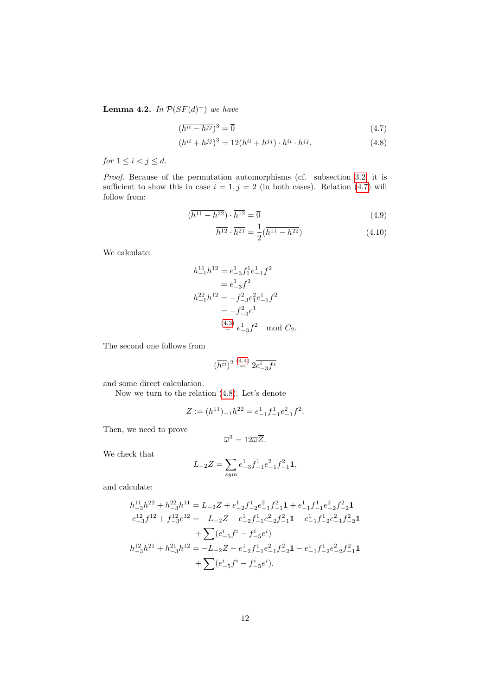<span id="page-11-2"></span>**Lemma 4.2.** In  $\mathcal{P}(SF(d)^+)$  we have

$$
(\overline{h^{ii} - h^{jj}})^3 = \overline{0}
$$
\n<sup>(4.7)</sup>

$$
(\overline{h^{ii} + h^{jj}})^3 = 12(\overline{h^{ii} + h^{jj}}) \cdot \overline{h^{ii}} \cdot \overline{h^{jj}}.
$$
\n(4.8)

for  $1 \leq i < j \leq d$ .

Proof. Because of the permutation automorphisms (cf. subsection [3.2,](#page-6-0) it is sufficient to show this in case  $i = 1, j = 2$  (in both cases). Relation [\(4.7\)](#page-11-0) will follow from:

$$
(\overline{h^{11} - h^{22}}) \cdot \overline{h^{12}} = \overline{0}
$$
\n
$$
(4.9)
$$

<span id="page-11-1"></span><span id="page-11-0"></span>
$$
\overline{h^{12}} \cdot \overline{h^{21}} = \frac{1}{2} (\overline{h^{11} - h^{22}})
$$
\n(4.10)

We calculate:

$$
h_{-1}^{11}h^{12} = e_{-3}^{1}f_{1}^{1}e_{-1}^{1}f^{2}
$$
  
=  $e_{-3}^{1}f^{2}$   

$$
h_{-1}^{22}h^{12} = -f_{-3}^{2}e_{1}^{2}e_{-1}^{1}f^{2}
$$
  
=  $-f_{-3}^{2}e^{1}$   

$$
\stackrel{(4.3)}{=} e_{-3}^{1}f^{2} \mod C_{2}.
$$

The second one follows from

$$
(\overline{h^{ii}})^2\stackrel{(4.4)}{=}2\overline{e^i_{-3}f^i}
$$

and some direct calculation.

Now we turn to the relation [\(4.8\)](#page-11-1). Let's denote

$$
Z := (h^{11})_{-1}h^{22} = e_{-1}^1 f_{-1}^1 e_{-1}^2 f^2.
$$

Then, we need to prove

$$
\overline{\omega}^3=12\overline{\omega}\overline{Z}.
$$

We check that

$$
L_{-2}Z = \sum_{sym} e_{-3}^{1} f_{-1}^{1} e_{-1}^{2} f_{-1}^{2} \mathbf{1},
$$

and calculate:

$$
\begin{aligned} h_{-3}^{11}h^{22}+h_{-3}^{22}h^{11}&=L_{-2}Z+e_{-2}^1f_{-2}^1e_{-1}^2f_{-1}^2{\bf 1}+e_{-1}^1f_{-1}^1e_{-2}^2f_{-2}^2{\bf 1}\\ e_{-3}^{12}f^{12}+f_{-3}^{12}e^{12}&=-L_{-2}Z-e_{-2}^1f_{-1}^1e_{-2}^2f_{-1}^2{\bf 1}-e_{-1}^1f_{-2}^1e_{-1}^2f_{-2}^2{\bf 1}\\ &+\sum(e_{-5}^if^i-f_{-5}^ie^i)\\ h_{-3}^{12}h^{21}+h_{-3}^{21}h^{12}&=-L_{-2}Z-e_{-2}^1f_{-1}^1e_{-1}^2f_{-2}^2{\bf 1}-e_{-1}^1f_{-2}^1e_{-2}^2f_{-1}^2{\bf 1}\\ &+\sum(e_{-5}^if^i-f_{-5}^ie^i).\end{aligned}
$$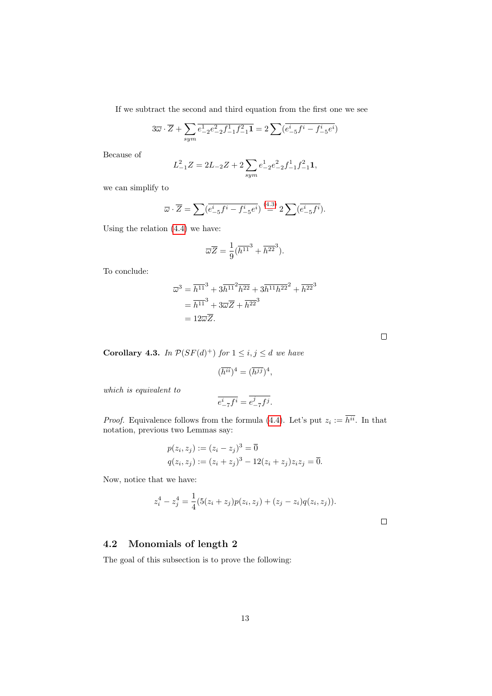If we subtract the second and third equation from the first one we see

$$
3\overline{\omega} \cdot \overline{Z} + \sum_{sym} \overline{e_{-2}^1 e_{-2}^2 f_{-1}^1 f_{-1}^2 \mathbf{1}} = 2 \sum_{i} (\overline{e_{-5}^i f_i - f_{-5}^i e_i})
$$

Because of

$$
L_{-1}^2Z=2L_{-2}Z+2\sum_{sym}e_{-2}^1e_{-2}^2f_{-1}^1f_{-1}^2{\bf 1},
$$

we can simplify to

$$
\overline{\omega} \cdot \overline{Z} = \sum \left( \overline{e^i_{-5} f^i - f^i_{-5} e^i} \right) \stackrel{(4.3)}{=} 2 \sum \left( \overline{e^i_{-5} f^i} \right).
$$

Using the relation [\(4.4\)](#page-10-4) we have:

$$
\overline{\omega}\overline{Z} = \frac{1}{9}(\overline{h^{11}}^3 + \overline{h^{22}}^3).
$$

To conclude:

$$
\overline{\omega}^3 = \overline{h^{11}}^3 + 3\overline{h^{11}}^2 \overline{h^{22}} + 3\overline{h^{11}} \overline{h^{22}}^2 + \overline{h^{22}}^3
$$

$$
= \overline{h^{11}}^3 + 3\overline{\omega}\overline{Z} + \overline{h^{22}}^3
$$

$$
= 12\overline{\omega}\overline{Z}.
$$

 $\Box$ 

<span id="page-12-1"></span>**Corollary 4.3.** In  $\mathcal{P}(SF(d)^+)$  for  $1 \leq i, j \leq d$  we have

$$
(\overline{h^{ii}})^4 = (\overline{h^{jj}})^4,
$$

which is equivalent to

$$
\overline{e^i_{-7}f^i}=\overline{e^j_{-7}f^j}.
$$

*Proof.* Equivalence follows from the formula [\(4.4\)](#page-10-4). Let's put  $z_i := h^{ii}$ . In that notation, previous two Lemmas say:

$$
p(z_i, z_j) := (z_i - z_j)^3 = \overline{0}
$$
  
 
$$
q(z_i, z_j) := (z_i + z_j)^3 - 12(z_i + z_j)z_i z_j = \overline{0}.
$$

Now, notice that we have:

$$
z_i^4 - z_j^4 = \frac{1}{4}(5(z_i + z_j)p(z_i, z_j) + (z_j - z_i)q(z_i, z_j)).
$$

 $\Box$ 

### <span id="page-12-0"></span>4.2 Monomials of length 2

The goal of this subsection is to prove the following: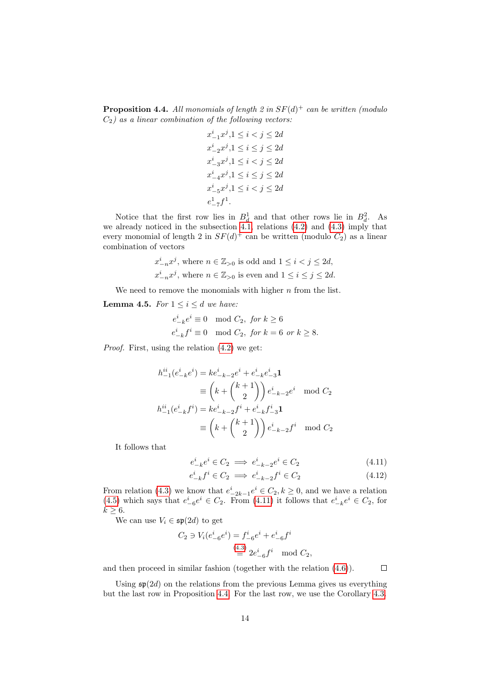<span id="page-13-1"></span>**Proposition 4.4.** All monomials of length 2 in  $SF(d)^+$  can be written (modulo  $C_2$ ) as a linear combination of the following vectors:

$$
\begin{aligned} & x^i_{-1}x^j, & 1 \leq i < j \leq 2d \\ & x^i_{-2}x^j, & 1 \leq i \leq j \leq 2d \\ & x^i_{-3}x^j, & 1 \leq i < j \leq 2d \\ & x^i_{-4}x^j, & 1 \leq i \leq j \leq 2d \\ & x^i_{-5}x^j, & 1 \leq i < j \leq 2d \\ & e^1_{-7}f^1. \end{aligned}
$$

Notice that the first row lies in  $B_d^1$  and that other rows lie in  $B_d^2$ . As we already noticed in the subsection [4.1,](#page-10-1) relations [\(4.2\)](#page-10-5) and [\(4.3\)](#page-10-3) imply that every monomial of length 2 in  $SF(d)^+$  can be written (modulo  $C_2$ ) as a linear combination of vectors

$$
\begin{split} &x^i_{-n}x^j, \, \text{where} \,\, n \in \mathbb{Z}_{>0} \,\, \text{is odd and} \,\, 1 \leq i < j \leq 2d, \\ &x^i_{-n}x^j, \, \text{where} \,\, n \in \mathbb{Z}_{>0} \,\, \text{is even and} \,\, 1 \leq i \leq j \leq 2d. \end{split}
$$

We need to remove the monomials with higher  $n$  from the list.

**Lemma 4.5.** For  $1 \leq i \leq d$  we have:

$$
e^i_{-k}e^i \equiv 0 \mod C_2, \text{ for } k \ge 6
$$
  

$$
e^i_{-k}f^i \equiv 0 \mod C_2, \text{ for } k = 6 \text{ or } k \ge 8.
$$

Proof. First, using the relation [\(4.2\)](#page-10-5) we get:

$$
h_{-1}^{ii}(e_{-k}^i e^i) = ke_{-k-2}^i e^i + e_{-k}^i e_{-3}^i \mathbf{1}
$$
  
\n
$$
\equiv \left(k + \binom{k+1}{2}\right) e_{-k-2}^i e^i \mod C_2
$$
  
\n
$$
h_{-1}^{ii}(e_{-k}^i f^i) = ke_{-k-2}^i f^i + e_{-k}^i f_{-3}^i \mathbf{1}
$$
  
\n
$$
\equiv \left(k + \binom{k+1}{2}\right) e_{-k-2}^i f^i \mod C_2
$$

It follows that

$$
e^i_{-k}e^i \in C_2 \implies e^i_{-k-2}e^i \in C_2 \tag{4.11}
$$

$$
e_{-k}^i f^i \in C_2 \implies e_{-k-2}^i f^i \in C_2 \tag{4.12}
$$

<span id="page-13-0"></span> $\Box$ 

From relation [\(4.3\)](#page-10-3) we know that  $e_{-2k-1}^i e^i \in C_2, k \ge 0$ , and we have a relation [\(4.5\)](#page-10-6) which says that  $e_{-6}^i e^i \in C_2$ . From [\(4.11\)](#page-13-0) it follows that  $e_{-k}^i e^i \in C_2$ , for  $k \geq 6$ .

We can use  $V_i \in \mathfrak{sp}(2d)$  to get

$$
C_2 \ni V_i(e^i_{-6}e^i) = f^i_{-6}e^i + e^i_{-6}f^i
$$
  
\n
$$
\stackrel{(4.3)}{\equiv} 2e^i_{-6}f^i \mod C_2,
$$

and then proceed in similar fashion (together with the relation [\(4.6\)](#page-10-7)).

Using  $\mathfrak{sp}(2d)$  on the relations from the previous Lemma gives us everything but the last row in Proposition [4.4.](#page-13-1) For the last row, we use the Corollary [4.3.](#page-12-1)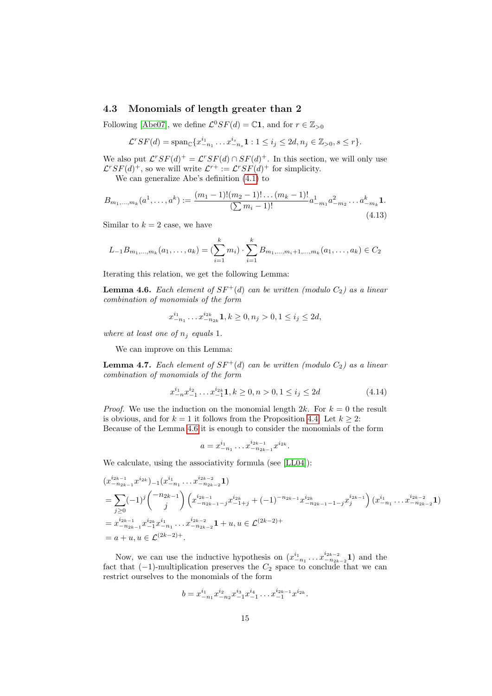### <span id="page-14-0"></span>4.3 Monomials of length greater than 2

Following [\[Abe07\]](#page-22-0), we define  $\mathcal{L}^0 SF(d) = \mathbb{C}1$ , and for  $r \in \mathbb{Z}_{>0}$ 

$$
\mathcal{L}^r SF(d) = \text{span}_{\mathbb{C}} \{ x_{-n_1}^{i_1} \dots x_{-n_s}^{i_s} \mathbf{1} : 1 \le i_j \le 2d, n_j \in \mathbb{Z}_{>0}, s \le r \}.
$$

We also put  $\mathcal{L}^r SF(d)^+ = \mathcal{L}^r SF(d) \cap SF(d)^+$ . In this section, we will only use  $\mathcal{L}^r SF(d)^+$ , so we will write  $\mathcal{L}^{r+} := \mathcal{L}^r SF(d)^+$  for simplicity.

We can generalize Abe's definition [\(4.1\)](#page-10-8) to

$$
B_{m_1,\dots,m_k}(a^1,\dots,a^k) := \frac{(m_1-1)!(m_2-1)!\dots(m_k-1)!}{(\sum m_i-1)!}a^1_{-m_1}a^2_{-m_2}\dots a^k_{-m_k}.
$$
\n(4.13)

Similar to  $k = 2$  case, we have

$$
L_{-1}B_{m_1,\dots,m_k}(a_1,\dots,a_k) = (\sum_{i=1}^k m_i) \cdot \sum_{i=1}^k B_{m_1,\dots,m_i+1,\dots,m_k}(a_1,\dots,a_k) \in C_2
$$

Iterating this relation, we get the following Lemma:

<span id="page-14-1"></span>**Lemma 4.6.** Each element of  $SF^+(d)$  can be written (modulo  $C_2$ ) as a linear combination of monomials of the form

 $x_{-n_1}^{i_1} \dots x_{-n_{2k}}^{i_{2k}} 1, k \ge 0, n_j > 0, 1 \le i_j \le 2d,$ 

where at least one of  $n_i$  equals 1.

We can improve on this Lemma:

<span id="page-14-3"></span>**Lemma 4.7.** Each element of  $SF^+(d)$  can be written (modulo  $C_2$ ) as a linear combination of monomials of the form

<span id="page-14-2"></span>
$$
x_{-n}^{i_1} x_{-1}^{i_2} \dots x_{-1}^{i_{2k}} \mathbf{1}, k \ge 0, n > 0, 1 \le i_j \le 2d \tag{4.14}
$$

.

*Proof.* We use the induction on the monomial length  $2k$ . For  $k = 0$  the result is obvious, and for  $k = 1$  it follows from the Proposition [4.4.](#page-13-1) Let  $k \geq 2$ : Because of the Lemma [4.6](#page-14-1) it is enough to consider the monomials of the form

$$
a = x_{-n_1}^{i_1} \dots x_{-n_{2k-1}}^{i_{2k-1}} x_{-n_{2k}}
$$

We calculate, using the associativity formula (see [\[LL04\]](#page-24-7)):

$$
(x_{-n_{2k-1}}^{i_{2k-1}} x^{i_{2k}})_{-1} (x_{-n_1}^{i_1} \dots x_{-n_{2k-2}}^{i_{2k-2}} \mathbf{1})
$$
\n
$$
= \sum_{j\geq 0} (-1)^j {\binom{-n_{2k-1}}{j}} \left( x_{-n_{2k-1}-j}^{i_{2k-1}} x_{-1+j}^{i_{2k}} + (-1)^{-n_{2k-1}} x_{-n_{2k-1}-1-j}^{i_{2k}} x_j^{i_{2k-1}} \right) (x_{-n_1}^{i_1} \dots x_{-n_{2k-2}}^{i_{2k-2}} \mathbf{1})
$$
\n
$$
= x_{-n_{2k-1}}^{i_{2k-1}} x_{-1}^{i_{2k}} x_{-n_1}^{i_1} \dots x_{-n_{2k-2}}^{i_{2k-2}} \mathbf{1} + u, u \in \mathcal{L}^{(2k-2)+}
$$
\n
$$
= a + u, u \in \mathcal{L}^{(2k-2)+}.
$$

Now, we can use the inductive hypothesis on  $(x_{-n_1}^{i_1} \ldots x_{-n_{2k-2}}^{i_{2k-2}})$  and the fact that  $(-1)$ -multiplication preserves the  $C_2$  space to conclude that we can restrict ourselves to the monomials of the form

$$
b = x_{-n_1}^{i_1} x_{-n_2}^{i_2} x_{-1}^{i_3} x_{-1}^{i_4} \dots x_{-1}^{i_{2k-1}} x_{-1}^{i_{2k}}.
$$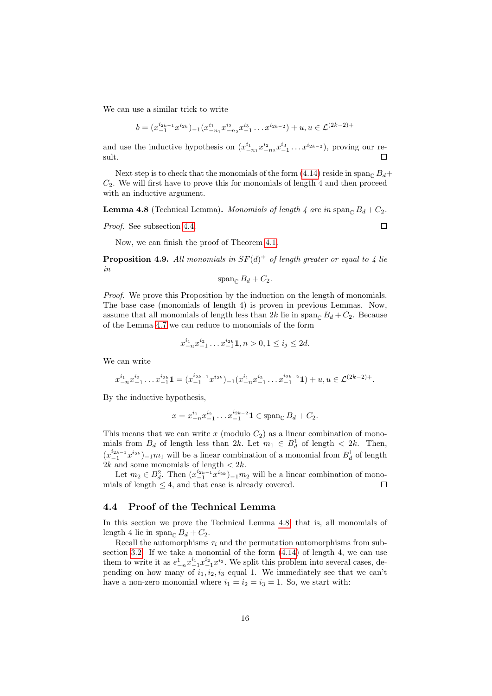We can use a similar trick to write

$$
b = (x_{-1}^{i_{2k-1}} x^{i_{2k}})_{-1} (x_{-n_1}^{i_1} x_{-n_2}^{i_2} x_{-1}^{i_3} \dots x^{i_{2k-2}}) + u, u \in \mathcal{L}^{(2k-2)+}
$$

and use the inductive hypothesis on  $(x_{-n_1}^{i_1} x_{-n_2}^{i_2} x_{-1}^{i_3} \dots x_{-n}^{i_{2k-2}})$ , proving our result.  $\Box$ 

Next step is to check that the monomials of the form [\(4.14\)](#page-14-2) reside in span<sub> $\subset B_d$ +</sub>  $C_2$ . We will first have to prove this for monomials of length 4 and then proceed with an inductive argument.

<span id="page-15-1"></span>**Lemma 4.8** (Technical Lemma). Monomials of length 4 are in span<sub>C</sub>  $B_d + C_2$ .

Proof. See subsection [4.4.](#page-15-0)

Now, we can finish the proof of Theorem [4.1.](#page-10-2)

**Proposition 4.9.** All monomials in  $SF(d)^+$  of length greater or equal to 4 lie in

$$
\operatorname{span}_{\mathbb{C}} B_d + C_2.
$$

Proof. We prove this Proposition by the induction on the length of monomials. The base case (monomials of length 4) is proven in previous Lemmas. Now, assume that all monomials of length less than  $2k$  lie in span<sub>C</sub>  $B_d + C_2$ . Because of the Lemma [4.7](#page-14-3) we can reduce to monomials of the form

$$
x_{-n}^{i_1} x_{-1}^{i_2} \dots x_{-1}^{i_{2k}} \mathbf{1}, n > 0, 1 \le i_j \le 2d.
$$

We can write

$$
x^{i_1}_{-n}x^{i_2}_{-1}\ldots x^{i_{2k}}_{-1}{\bf 1}=(x^{i_{2k-1}}_{-1}x^{i_{2k}})_{-1}(x^{i_1}_{-n}x^{i_2}_{-1}\ldots x^{i_{2k-2}}_{-1}{\bf 1})+u,u\in\mathcal L^{(2k-2)+}.
$$

By the inductive hypothesis,

$$
x = x_{-n}^{i_1} x_{-1}^{i_2} \dots x_{-1}^{i_{2k-2}} \mathbf{1} \in \text{span}_{\mathbb{C}} B_d + C_2.
$$

This means that we can write  $x \pmod{C_2}$  as a linear combination of monomials from  $B_d$  of length less than  $2k$ . Let  $m_1 \in B_d^1$  of length  $\langle 2k \rangle$ . Then,  $(x_{-1}^{i_{2k-1}}x^{i_{2k}})_{-1}m_1$  will be a linear combination of a monomial from  $B_d^1$  of length  $2k$  and some monomials of length  $\langle 2k \rangle$ .

Let  $m_2 \in B_d^2$ . Then  $(x_{-1}^{i_{2k-1}} x^{i_{2k}})_{-1} m_2$  will be a linear combination of monomials of length  $\leq 4$ , and that case is already covered.  $\Box$ 

### <span id="page-15-0"></span>4.4 Proof of the Technical Lemma

In this section we prove the Technical Lemma [4.8,](#page-15-1) that is, all monomials of length 4 lie in span<sub>C</sub>  $B_d + C_2$ .

Recall the automorphisms  $\tau_i$  and the permutation automorphisms from subsection [3.2.](#page-6-0) If we take a monomial of the form [\(4.14\)](#page-14-2) of length 4, we can use them to write it as  $e_{-n}^1 x_{-1}^{i_1} x_{-1}^{i_2} x_i^{i_3}$ . We split this problem into several cases, depending on how many of  $i_1, i_2, i_3$  equal 1. We immediately see that we can't have a non-zero monomial where  $i_1 = i_2 = i_3 = 1$ . So, we start with:

 $\Box$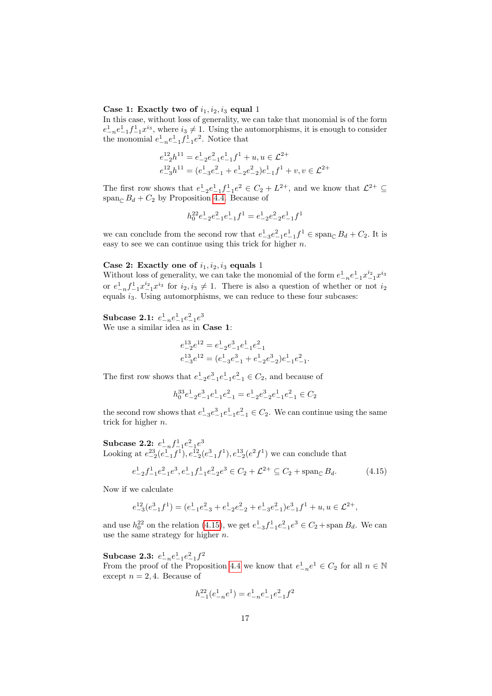### Case 1: Exactly two of  $i_1, i_2, i_3$  equal 1

In this case, without loss of generality, we can take that monomial is of the form  $e_{-n}^1 e_{-1}^1 f_{-1}^1 x^{i_3}$ , where  $i_3 \neq 1$ . Using the automorphisms, it is enough to consider the monomial  $e_{-n}^1 e_{-1}^1 f_{-1}^1 e_1^2$ . Notice that

$$
\begin{aligned} e^{12}_{-2}h^{11} &= e^1_{-2}e^2_{-1}e^1_{-1}f^1+u, u\in \mathcal{L}^{2+}\\ e^{12}_{-3}h^{11} &= (e^1_{-3}e^2_{-1}+e^1_{-2}e^2_{-2})e^1_{-1}f^1+v, v\in \mathcal{L}^{2+} \end{aligned}
$$

The first row shows that  $e_{-2}^1e_{-1}^1f_{-1}^1e^2 \in C_2 + L^{2+}$ , and we know that  $\mathcal{L}^{2+} \subseteq$ span<sub>C</sub>  $B_d + C_2$  by Proposition [4.4.](#page-13-1) Because of

$$
h_0^{22}e_{-2}^1e_{-1}^2e_{-1}^1f^1 = e_{-2}^1e_{-2}^2e_{-1}^1f^1
$$

we can conclude from the second row that  $e_{-3}^1e_{-1}^2e_{-1}^1f_1^1 \in \text{span}_{\mathbb{C}} B_d + C_2$ . It is easy to see we can continue using this trick for higher  $n$ .

### Case 2: Exactly one of  $i_1, i_2, i_3$  equals 1

Without loss of generality, we can take the monomial of the form  $e_{-n}^1e_{-1}^1x_{-1}^{i_2}x^{i_3}$ or  $e_{-n}^1 f_{-1}^1 x_{-1}^{i_2} x^{i_3}$  for  $i_2, i_3 \neq 1$ . There is also a question of whether or not  $i_2$ equals  $i_3$ . Using automorphisms, we can reduce to these four subcases:

## $\textbf{Subcase 2.1: } e_{-n}^1 e_{-1}^2 e_{-1}^2 e^3$

We use a similar idea as in Case 1:

$$
\begin{aligned} e^{13}_{-2}e^{12} &= e^1_{-2}e^3_{-1}e^1_{-1}e^2_{-1}\\ e^{13}_{-3}e^{12} &= (e^1_{-3}e^3_{-1}+e^1_{-2}e^3_{-2})e^1_{-1}e^2_{-1}. \end{aligned}
$$

The first row shows that  $e^1_{-2}e^2_{-1}e^1_{-1}e^2_{-1} \in C_2$ , and because of

<span id="page-16-0"></span>
$$
h_0^{33}e_{-2}^1e_{-1}^3e_{-1}^2e_{-1}^2=e_{-2}^1e_{-2}^3e_{-1}^1e_{-1}^2\in C_2
$$

the second row shows that  $e_{-3}^1e_{-1}^2e_{-1}^2 \in C_2$ . We can continue using the same trick for higher  $n$ .

 $\textbf{Subcase 2.2: } e^1_{-n} f^1_{-1} e^2_{-1} e^3$ Looking at  $e_{-2}^{23}(e_{-1}^1 f_1), e_{-2}^{12}(e_{-1}^3 f_1), e_{-2}^{13}(e_1^2 f_1)$  we can conclude that

$$
e_{-2}^{1}f_{-1}^{1}e_{-1}^{2}e_{-1}^{3}e_{-1}^{1}f_{-1}^{1}e_{-2}^{2}e_{-1}^{3} \in C_2 + \mathcal{L}^{2+} \subseteq C_2 + \operatorname{span}_{\mathbb{C}} B_d.
$$
 (4.15)

Now if we calculate

$$
e^{12}_{-3}(e^{3}_{-1}f^{1}) = (e^{1}_{-1}e^{2}_{-3} + e^{1}_{-2}e^{2}_{-2} + e^{1}_{-3}e^{2}_{-1})e^{3}_{-1}f^{1} + u, u \in \mathcal{L}^{2+},
$$

and use  $h_0^{22}$  on the relation [\(4.15\)](#page-16-0), we get  $e_{-3}^1 f_{-1}^1 e_{-1}^2 e^3 \in C_2 + \text{span } B_d$ . We can use the same strategy for higher  $n$ .

 $\textbf{Subcase 2.3:} \ \ e_{-n}^{1}e_{-1}^{2}e_{-1}^{2}f^{2}$ From the proof of the Proposition [4.4](#page-13-1) we know that  $e_{-n}^1e^1 \in C_2$  for all  $n \in \mathbb{N}$ except  $n = 2, 4$ . Because of

$$
h^{22}_{-1}(e^1_{-n}e^1) = e^1_{-n}e^1_{-1}e^2_{-1}f^2
$$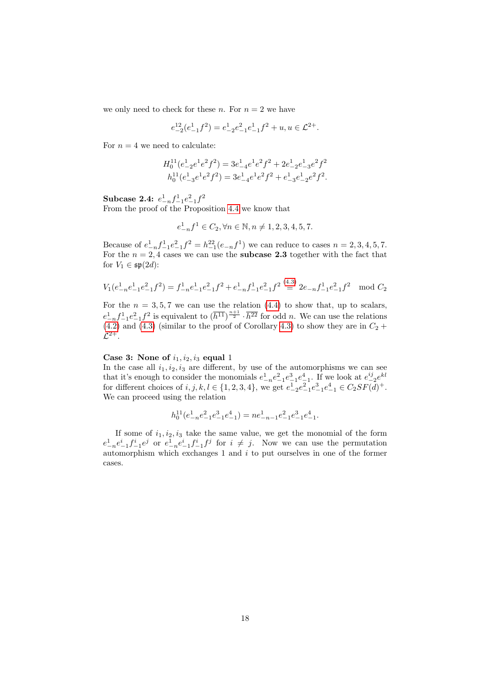we only need to check for these n. For  $n = 2$  we have

$$
e_{-2}^{12}(e_{-1}^1 f^2) = e_{-2}^1 e_{-1}^2 e_{-1}^1 f^2 + u, u \in \mathcal{L}^{2+}.
$$

For  $n = 4$  we need to calculate:

$$
\begin{aligned} H_0^{11}(e_{-2}^1e^1e^2f^2) &= 3e_{-4}^1e^1e^2f^2 + 2e_{-2}^1e_{-3}^1e^2f^2 \\ h_0^{11}(e_{-3}^1e^2f^2) &= 3e_{-4}^1e^1e^2f^2 + e_{-3}^1e_{-2}^1e^2f^2. \end{aligned}
$$

Subcase 2.4:  $e_{-n}^1 f_{-1}^1 e_{-1}^2 f^2$ From the proof of the Proposition [4.4](#page-13-1) we know that

$$
e_{-n}^1 f^1 \in C_2, \forall n \in \mathbb{N}, n \neq 1, 2, 3, 4, 5, 7.
$$

Because of  $e_{-n}^1 f_{-1}^1 e_{-1}^2 f^2 = h_{-1}^{22} (e_{-n} f^1)$  we can reduce to cases  $n = 2, 3, 4, 5, 7$ . For the  $n = 2, 4$  cases we can use the **subcase 2.3** together with the fact that for  $V_1 \in \mathfrak{sp}(2d)$ :

$$
V_1(e_{-n}^1e_{-1}^2e_{-1}^2f^2) = f_{-n}^1e_{-1}^1e_{-1}^2f^2 + e_{-n}^1f_{-1}^1e_{-1}^2f^2 \stackrel{(4.3)}{\equiv} 2e_{-n}f_{-1}^1e_{-1}^2f^2 \mod C_2
$$

For the  $n = 3, 5, 7$  we can use the relation [\(4.4\)](#page-10-4) to show that, up to scalars,  $e_{-n}^1 f_{-1}^1 e_{-1}^2 f^2$  is equivalent to  $(\overline{h^{11}})^{\frac{n+1}{2}} \cdot \overline{h^{22}}$  for odd *n*. We can use the relations  $(4.2)$  and  $(4.3)$  (similar to the proof of Corollary [4.3\)](#page-12-1) to show they are in  $C_2 +$  $\mathcal{L}^{2+}.$ 

### Case 3: None of  $i_1, i_2, i_3$  equal 1

In the case all  $i_1, i_2, i_3$  are different, by use of the automorphisms we can see that it's enough to consider the monomials  $e_{-n}^1 e_{-1}^2 e_{-1}^3 e_{-1}^4$ . If we look at  $e_{-2}^{ij} e^{kl}$ for different choices of  $i, j, k, l \in \{1, 2, 3, 4\}$ , we get  $e_{-2}^1 e_{-1}^2 e_{-1}^2 e_{-1}^4 \in C_2 SF(d)^+$ . We can proceed using the relation

$$
h_0^{11}(e_{-n}^1e_{-1}^2e_{-1}^3e_{-1}^4) = ne_{-n-1}^1e_{-1}^2e_{-1}^3e_{-1}^4.
$$

If some of  $i_1, i_2, i_3$  take the same value, we get the monomial of the form  $e_{-n}^1e_{-1}^i f_{-1}^i e^j$  or  $e_{-n}^1e_{-1}^i f_{-1}^i f^j$  for  $i \neq j$ . Now we can use the permutation automorphism which exchanges  $1$  and  $i$  to put ourselves in one of the former cases.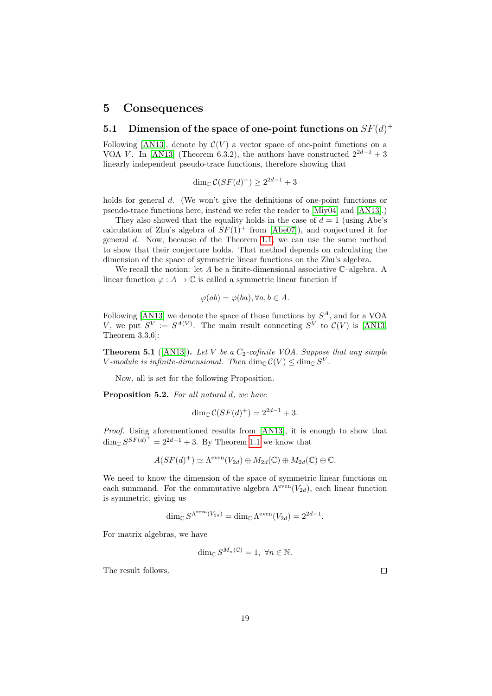### <span id="page-18-0"></span>5 Consequences

## <span id="page-18-1"></span>5.1 Dimension of the space of one-point functions on  $SF(d)^+$

Following [\[AN13\]](#page-23-0), denote by  $\mathcal{C}(V)$  a vector space of one-point functions on a VOA V. In [\[AN13\]](#page-23-0) (Theorem 6.3.2), the authors have constructed  $2^{2d-1}+3$ linearly independent pseudo-trace functions, therefore showing that

$$
\dim_{\mathbb{C}} \mathcal{C}(SF(d)^+) \ge 2^{2d-1} + 3
$$

holds for general d. (We won't give the definitions of one-point functions or pseudo-trace functions here, instead we refer the reader to [\[Miy04\]](#page-24-8) and [\[AN13\]](#page-23-0).)

They also showed that the equality holds in the case of  $d = 1$  (using Abe's calculation of Zhu's algebra of  $SF(1)^+$  from [\[Abe07\]](#page-22-0)), and conjectured it for general d. Now, because of the Theorem [1.1,](#page-1-2) we can use the same method to show that their conjecture holds. That method depends on calculating the dimension of the space of symmetric linear functions on the Zhu's algebra.

We recall the notion: let A be a finite-dimensional associative  $\mathbb{C}$ -algebra. A linear function  $\varphi : A \to \mathbb{C}$  is called a symmetric linear function if

$$
\varphi(ab) = \varphi(ba), \forall a, b \in A.
$$

Following [\[AN13\]](#page-23-0) we denote the space of those functions by  $S^A$ , and for a VOA V, we put  $S^V := S^{A(V)}$ . The main result connecting  $S^V$  to  $C(V)$  is [\[AN13,](#page-23-0) Theorem 3.3.6]:

**Theorem 5.1** ([\[AN13\]](#page-23-0)). Let V be a  $C_2$ -cofinite VOA. Suppose that any simple V-module is infinite-dimensional. Then  $\dim_{\mathbb{C}} C(V) \leq \dim_{\mathbb{C}} S^V$ .

Now, all is set for the following Proposition.

Proposition 5.2. For all natural d, we have

$$
\dim_{\mathbb{C}} \mathcal{C}(SF(d)^+) = 2^{2d-1} + 3.
$$

Proof. Using aforementioned results from [\[AN13\]](#page-23-0), it is enough to show that  $\dim_{\mathbb{C}} S^{SF(d)^+} = 2^{2d-1} + 3$ . By Theorem [1.1](#page-1-2) we know that

$$
A(SF(d)^+) \simeq \Lambda^{\text{even}}(V_{2d}) \oplus M_{2d}(\mathbb{C}) \oplus M_{2d}(\mathbb{C}) \oplus \mathbb{C}.
$$

We need to know the dimension of the space of symmetric linear functions on each summand. For the commutative algebra  $\Lambda^{\text{even}}(V_{2d})$ , each linear function is symmetric, giving us

$$
\dim_{\mathbb{C}} S^{\Lambda^{\text{even}}(V_{2d})} = \dim_{\mathbb{C}} \Lambda^{\text{even}}(V_{2d}) = 2^{2d-1}.
$$

For matrix algebras, we have

$$
\dim_{\mathbb{C}} S^{M_n(\mathbb{C})} = 1, \ \forall n \in \mathbb{N}.
$$

The result follows.

 $\Box$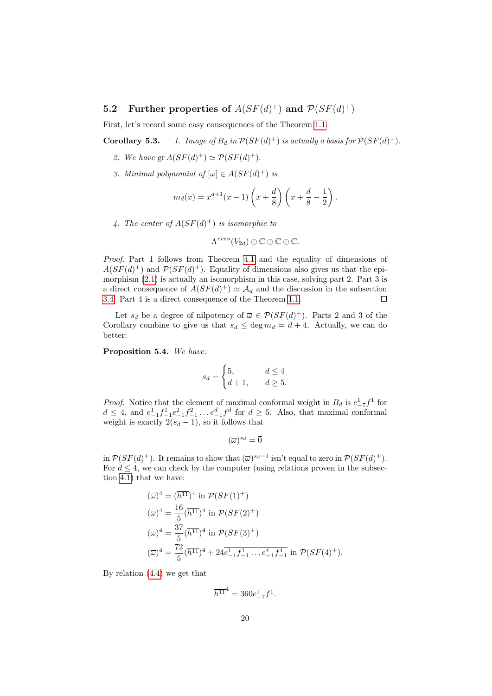## <span id="page-19-0"></span>**5.2** Further properties of  $A(SF(d)^+)$  and  $\mathcal{P}(SF(d)^+)$

First, let's record some easy consequences of the Theorem [1.1:](#page-1-2)

**Corollary 5.3.** 1. Image of  $B_d$  in  $\mathcal{P}(SF(d)^+)$  is actually a basis for  $\mathcal{P}(SF(d)^+)$ .

- 2. We have  $gr A(SF(d)^+) \simeq \mathcal{P}(SF(d)^+).$
- 3. Minimal polynomial of  $[\omega] \in A(SF(d)^+)$  is

$$
m_d(x) = x^{d+1}(x-1)\left(x + \frac{d}{8}\right)\left(x + \frac{d}{8} - \frac{1}{2}\right).
$$

4. The center of  $A(SF(d)^+)$  is isomorphic to

$$
\Lambda^{even}(V_{2d})\oplus \mathbb{C}\oplus \mathbb{C}\oplus \mathbb{C}.
$$

Proof. Part 1 follows from Theorem [4.1](#page-10-2) and the equality of dimensions of  $A(SF(d)^+)$  and  $\mathcal{P}(SF(d)^+)$ . Equality of dimensions also gives us that the epimorphism [\(2.1\)](#page-4-0) is actually an isomorphism in this case, solving part 2. Part 3 is a direct consequence of  $A(SF(d)^+) \simeq A_d$  and the discussion in the subsection [3.4.](#page-8-2) Part 4 is a direct consequence of the Theorem [1.1.](#page-1-2)  $\Box$ 

Let  $s_d$  be a degree of nilpotency of  $\overline{\omega} \in \mathcal{P}(SF(d)^+)$ . Parts 2 and 3 of the Corollary combine to give us that  $s_d \leq \deg m_d = d + 4$ . Actually, we can do better:

Proposition 5.4. We have:

$$
s_d = \begin{cases} 5, & d \le 4 \\ d+1, & d \ge 5. \end{cases}
$$

*Proof.* Notice that the element of maximal conformal weight in  $B_d$  is  $e_{-7}^1 f_1^1$  for  $d \leq 4$ , and  $e_{-1}^1 f_{-1}^1 e_{-1}^2 f_{-1}^2 \dots e_{-1}^d f^d$  for  $d \geq 5$ . Also, that maximal conformal weight is exactly  $2(s_d - 1)$ , so it follows that

$$
(\overline{\omega})^{s_d} = \overline{0}
$$

in  $\mathcal{P}(SF(d)^+)$ . It remains to show that  $(\overline{\omega})^{s_d-1}$  isn't equal to zero in  $\mathcal{P}(SF(d)^+)$ . For  $d \leq 4$ , we can check by the computer (using relations proven in the subsection [4.1\)](#page-10-1) that we have:

$$
(\overline{\omega})^4 = (\overline{h^{11}})^4 \text{ in } \mathcal{P}(SF(1)^+) \n(\overline{\omega})^4 = \frac{16}{5} (\overline{h^{11}})^4 \text{ in } \mathcal{P}(SF(2)^+) \n(\overline{\omega})^4 = \frac{37}{5} (\overline{h^{11}})^4 \text{ in } \mathcal{P}(SF(3)^+) \n(\overline{\omega})^4 = \frac{72}{5} (\overline{h^{11}})^4 + 24 \overline{e^1_{-1} f^1_{-1} \dots e^4_{-1} f^4_{-1}} \text{ in } \mathcal{P}(SF(4)^+).
$$

By relation [\(4.4\)](#page-10-4) we get that

$$
\overline{h^{11}}^4 = 360 \overline{e^1_{-7} f^1}.
$$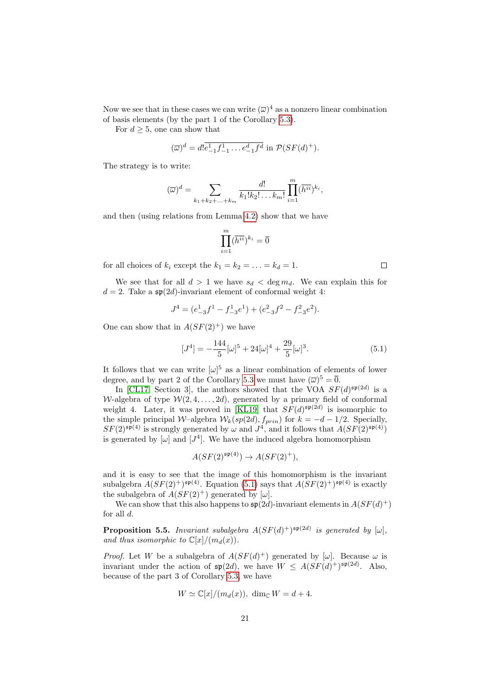Now we see that in these cases we can write  $(\overline{\omega})^4$  as a nonzero linear combination of basis elements (by the part 1 of the Corollary [5.3\)](#page-0-0).

For  $d \geq 5$ , one can show that

$$
(\overline{\omega})^d = d! \overline{e^1_{-1} f^1_{-1} \dots e^d_{-1} f^d}
$$
 in  $\mathcal{P}(SF(d)^+).$ 

The strategy is to write:

$$
(\overline{\omega})^d = \sum_{k_1+k_2+\ldots+k_m} \frac{d!}{k_1!k_2!\ldots k_m!} \prod_{i=1}^m (\overline{h^{ii}})^{k_i},
$$

and then (using relations from Lemma [4.2\)](#page-11-2) show that we have

$$
\prod_{i=1}^m (\overline{h^{ii}})^{k_i}=\overline{0}
$$

for all choices of  $k_i$  except the  $k_1 = k_2 = \ldots = k_d = 1$ .

We see that for all  $d > 1$  we have  $s_d < \deg m_d$ . We can explain this for  $d = 2$ . Take a  $\mathfrak{sp}(2d)$ -invariant element of conformal weight 4:

$$
J4 = (e1-3f1 - f1-3e1) + (e2-3f2 - f2-3e2).
$$

One can show that in  $A(SF(2)^+)$  we have

<span id="page-20-1"></span>
$$
[J^4] = -\frac{144}{5} [\omega]^5 + 24[\omega]^4 + \frac{29}{5} [\omega]^3.
$$
 (5.1)

It follows that we can write  $[\omega]$ <sup>5</sup> as a linear combination of elements of lower degree, and by part 2 of the Corollary [5.3](#page-0-0) we must have  $(\overline{\omega})^5 = \overline{0}$ .

In [\[CL17,](#page-23-3) Section 3], the authors showed that the VOA  $SF(d)^{\mathfrak{sp}(2d)}$  is a W-algebra of type  $W(2, 4, \ldots, 2d)$ , generated by a primary field of conformal weight 4. Later, it was proved in [\[KL19\]](#page-24-4) that  $SF(d)^{\mathfrak{sp}(2d)}$  is isomorphic to the simple principal W–algebra  $W_k(sp(2d), f_{prin})$  for  $k = -d - 1/2$ . Specially,  $SF(2)^{\mathfrak{sp}(4)}$  is strongly generated by  $\omega$  and  $J^4$ , and it follows that  $A(SF(2)^{\mathfrak{sp}(4)})$ is generated by  $[\omega]$  and  $[J^4]$ . We have the induced algebra homomorphism

$$
A(SF(2)^{\mathfrak{sp}(4)}) \to A(SF(2)^+),
$$

and it is easy to see that the image of this homomorphism is the invariant subalgebra  $A(SF(2)^+)^{\mathfrak{sp}(4)}$ . Equation [\(5.1\)](#page-20-1) says that  $A(SF(2)^+)^{\mathfrak{sp}(4)}$  is exactly the subalgebra of  $A(SF(2)^+)$  generated by  $[\omega]$ .

We can show that this also happens to  $\mathfrak{sp}(2d)$ -invariant elements in  $A(SF(d)^+)$ for all  $d$ .

<span id="page-20-0"></span>**Proposition 5.5.** Invariant subalgebra  $A(SF(d)^+)^{\mathfrak{sp}(2d)}$  is generated by  $[\omega]$ , and thus isomorphic to  $\mathbb{C}[x]/(m_d(x)).$ 

*Proof.* Let W be a subalgebra of  $A(SF(d)^+)$  generated by  $[\omega]$ . Because  $\omega$  is invariant under the action of  $\mathfrak{sp}(2d)$ , we have  $W \leq A(SF(d)^+)^{\mathfrak{sp}(2d)}$ . Also, because of the part 3 of Corollary [5.3,](#page-0-0) we have

$$
W \simeq \mathbb{C}[x]/(m_d(x)), \dim_{\mathbb{C}} W = d+4.
$$

 $\Box$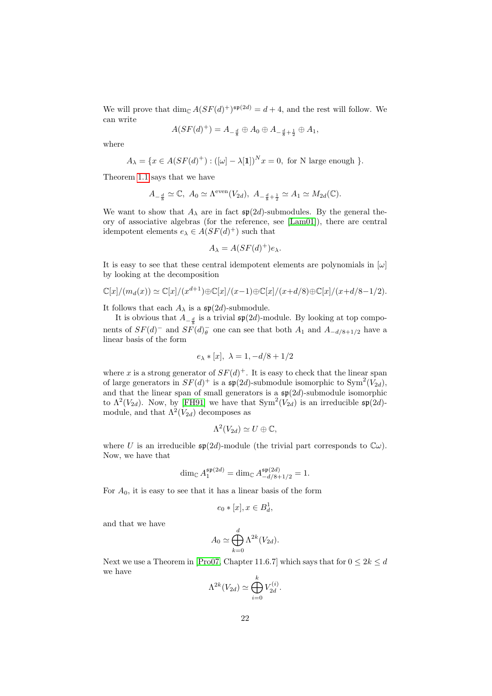We will prove that  $\dim_{\mathbb{C}} A(SF(d)^+)^{\mathfrak{sp}(2d)} = d+4$ , and the rest will follow. We can write

$$
A(SF(d)^+) = A_{-\frac{d}{8}} \oplus A_0 \oplus A_{-\frac{d}{8}+\frac{1}{2}} \oplus A_1,
$$

where

$$
A_{\lambda} = \{ x \in A(SF(d)^{+}) : ([\omega] - \lambda[1])^{N} x = 0, \text{ for N large enough } \}.
$$

Theorem [1.1](#page-1-2) says that we have

$$
A_{-\frac{d}{8}} \simeq \mathbb{C}, \ A_0 \simeq \Lambda^{\text{even}}(V_{2d}), \ A_{-\frac{d}{8}+\frac{1}{2}} \simeq A_1 \simeq M_{2d}(\mathbb{C}).
$$

We want to show that  $A_{\lambda}$  are in fact  $\mathfrak{sp}(2d)$ -submodules. By the general theory of associative algebras (for the reference, see [\[Lam01\]](#page-24-9)), there are central idempotent elements  $e_{\lambda} \in A(SF(d)^+)$  such that

$$
A_{\lambda} = A(SF(d)^+)e_{\lambda}.
$$

It is easy to see that these central idempotent elements are polynomials in  $[\omega]$ by looking at the decomposition

$$
\mathbb{C}[x]/(m_d(x)) \simeq \mathbb{C}[x]/(x^{d+1}) \oplus \mathbb{C}[x]/(x-1) \oplus \mathbb{C}[x]/(x+d/8) \oplus \mathbb{C}[x]/(x+d/8-1/2).
$$

It follows that each  $A_{\lambda}$  is a  $\mathfrak{sp}(2d)$ -submodule.

It is obvious that  $A_{-\frac{d}{8}}$  is a trivial  $\mathfrak{sp}(2d)$ -module. By looking at top components of  $SF(d)$ <sup>-</sup> and  $SF(d)$ <sup>-</sup> one can see that both  $A_1$  and  $A_{-d/8+1/2}$  have a linear basis of the form

$$
e_{\lambda} * [x], \lambda = 1, -d/8 + 1/2
$$

where x is a strong generator of  $SF(d)^+$ . It is easy to check that the linear span of large generators in  $SF(d)^+$  is a  $\mathfrak{sp}(2d)$ -submodule isomorphic to  $Sym^2(V_{2d})$ , and that the linear span of small generators is a  $\mathfrak{sp}(2d)$ -submodule isomorphic to  $\Lambda^2(V_{2d})$ . Now, by [\[FH91\]](#page-23-14) we have that  $Sym^2(V_{2d})$  is an irreducible  $\mathfrak{sp}(2d)$ module, and that  $\Lambda^2(V_{2d})$  decomposes as

$$
\Lambda^2(V_{2d})\simeq U\oplus\mathbb{C},
$$

where U is an irreducible  $\mathfrak{sp}(2d)$ -module (the trivial part corresponds to  $\mathbb{C}\omega$ ). Now, we have that

$$
\dim_{\mathbb C} A_1^{\mathfrak{sp}(2d)} = \dim_{\mathbb C} A_{-d/8+1/2}^{\mathfrak{sp}(2d)} = 1.
$$

For  $A_0$ , it is easy to see that it has a linear basis of the form

$$
e_0 * [x], x \in B_d^1,
$$

and that we have

$$
A_0 \simeq \bigoplus_{k=0}^d \Lambda^{2k}(V_{2d}).
$$

Next we use a Theorem in [\[Pro07,](#page-24-10) Chapter 11.6.7] which says that for  $0 \leq 2k \leq d$ we have k

$$
\Lambda^{2k}(V_{2d}) \simeq \bigoplus_{i=0}^{\kappa} V_{2d}^{(i)}.
$$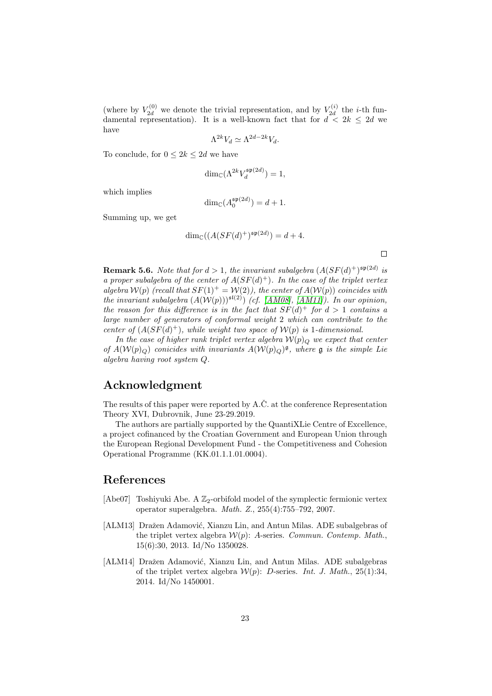(where by  $V_{2d}^{(0)}$  we denote the trivial representation, and by  $V_{2d}^{(i)}$  $\chi_{2d}^{(i)}$  the *i*-th fundamental representation). It is a well-known fact that for  $d < 2k \le 2d$  we have

$$
\Lambda^{2k} V_d \simeq \Lambda^{2d-2k} V_d.
$$

To conclude, for  $0 \leq 2k \leq 2d$  we have

$$
\dim_{\mathbb{C}}(\Lambda^{2k}V_d^{\mathfrak{sp}(2d)}) = 1,
$$

which implies

$$
\dim_{\mathbb{C}}(A_0^{\mathfrak{sp}(2d)}) = d + 1.
$$

Summing up, we get

$$
\dim_{\mathbb{C}}((A(SF(d)^+)^{\mathfrak{sp}(2d)}) = d+4.
$$

 $\Box$ 

**Remark 5.6.** Note that for  $d > 1$ , the invariant subalgebra  $(A(SF(d)^+)^{\mathfrak{sp}(2d)}$  is a proper subalgebra of the center of  $A(SF(d)^+)$ . In the case of the triplet vertex algebra  $W(p)$  (recall that  $SF(1)^{+} = W(2)$ ), the center of  $A(W(p))$  coincides with the invariant subalgebra  $(A(\mathcal{W}(p)))^{s(2)}$  (cf. [\[AM08\]](#page-23-5), [\[AM11\]](#page-23-7)). In our opinion, the reason for this difference is in the fact that  $SF(d)^+$  for  $d > 1$  contains a large number of generators of conformal weight 2 which can contribute to the center of  $(A(SF(d)^+))$ , while weight two space of  $\mathcal{W}(p)$  is 1-dimensional.

In the case of higher rank triplet vertex algebra  $W(p)_{\mathcal{O}}$  we expect that center of  $A(\mathcal{W}(p)_{Q})$  conicides with invariants  $A(\mathcal{W}(p)_{Q})^{\mathfrak{g}}$ , where  $\mathfrak g$  is the simple Lie algebra having root system Q.

## Acknowledgment

The results of this paper were reported by  $A.\check{C}$  at the conference Representation Theory XVI, Dubrovnik, June 23-29.2019.

The authors are partially supported by the QuantiXLie Centre of Excellence, a project cofinanced by the Croatian Government and European Union through the European Regional Development Fund - the Competitiveness and Cohesion Operational Programme (KK.01.1.1.01.0004).

## References

- <span id="page-22-0"></span>[Abe07] Toshiyuki Abe. A  $\mathbb{Z}_2$ -orbifold model of the symplectic fermionic vertex operator superalgebra. Math. Z., 255(4):755–792, 2007.
- <span id="page-22-1"></span>[ALM13] Dražen Adamović, Xianzu Lin, and Antun Milas. ADE subalgebras of the triplet vertex algebra  $W(p)$ : A-series. Commun. Contemp. Math., 15(6):30, 2013. Id/No 1350028.
- <span id="page-22-2"></span>[ALM14] Dražen Adamović, Xianzu Lin, and Antun Milas. ADE subalgebras of the triplet vertex algebra  $W(p)$ : D-series. Int. J. Math., 25(1):34, 2014. Id/No 1450001.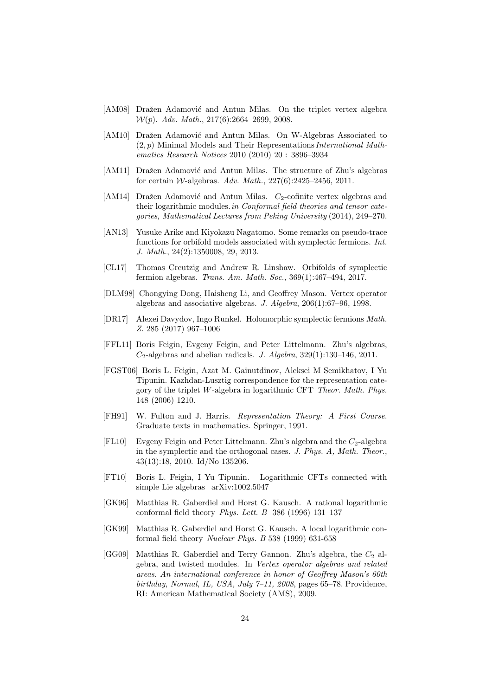- <span id="page-23-5"></span>[AM08] Dražen Adamović and Antun Milas. On the triplet vertex algebra  $W(p)$ . Adv. Math., 217(6):2664-2699, 2008.
- <span id="page-23-12"></span>[AM10] Dražen Adamović and Antun Milas. On W-Algebras Associated to  $(2, p)$  Minimal Models and Their Representations *International Math*ematics Research Notices 2010 (2010) 20 : 3896–3934
- <span id="page-23-7"></span>[AM11] Dražen Adamović and Antun Milas. The structure of Zhu's algebras for certain *W*-algebras. Adv. Math.,  $227(6):2425-2456$ , 2011.
- <span id="page-23-11"></span>[AM14] Dražen Adamović and Antun Milas.  $C_2$ -cofinite vertex algebras and their logarithmic modules.in Conformal field theories and tensor categories, Mathematical Lectures from Peking University (2014), 249–270.
- <span id="page-23-0"></span>[AN13] Yusuke Arike and Kiyokazu Nagatomo. Some remarks on pseudo-trace functions for orbifold models associated with symplectic fermions. Int. J. Math., 24(2):1350008, 29, 2013.
- <span id="page-23-3"></span>[CL17] Thomas Creutzig and Andrew R. Linshaw. Orbifolds of symplectic fermion algebras. Trans. Am. Math. Soc., 369(1):467–494, 2017.
- <span id="page-23-13"></span>[DLM98] Chongying Dong, Haisheng Li, and Geoffrey Mason. Vertex operator algebras and associative algebras. J. Algebra, 206(1):67–96, 1998.
- <span id="page-23-4"></span>[DR17] Alexei Davydov, Ingo Runkel. Holomorphic symplectic fermions Math. Z. 285 (2017) 967–1006
- <span id="page-23-9"></span>[FFL11] Boris Feigin, Evgeny Feigin, and Peter Littelmann. Zhu's algebras,  $C_2$ -algebras and abelian radicals. J. Algebra, 329(1):130–146, 2011.
- [FGST06] Boris L. Feigin, Azat M. Gainutdinov, Aleksei M Semikhatov, I Yu Tipunin. Kazhdan-Lusztig correspondence for the representation category of the triplet W-algebra in logarithmic CFT Theor. Math. Phys. 148 (2006) 1210.
- <span id="page-23-14"></span>[FH91] W. Fulton and J. Harris. Representation Theory: A First Course. Graduate texts in mathematics. Springer, 1991.
- <span id="page-23-8"></span>[FL10] Evgeny Feigin and Peter Littelmann. Zhu's algebra and the  $C_2$ -algebra in the symplectic and the orthogonal cases. J. Phys. A, Math. Theor., 43(13):18, 2010. Id/No 135206.
- <span id="page-23-10"></span>[FT10] Boris L. Feigin, I Yu Tipunin. Logarithmic CFTs connected with simple Lie algebras arXiv:1002.5047
- <span id="page-23-1"></span>[GK96] Matthias R. Gaberdiel and Horst G. Kausch. A rational logarithmic conformal field theory *Phys. Lett. B* 386 (1996) 131-137
- <span id="page-23-2"></span>[GK99] Matthias R. Gaberdiel and Horst G. Kausch. A local logarithmic conformal field theory Nuclear Phys. B 538 (1999) 631-658
- <span id="page-23-6"></span>[GG09] Matthias R. Gaberdiel and Terry Gannon. Zhu's algebra, the  $C_2$  algebra, and twisted modules. In Vertex operator algebras and related areas. An international conference in honor of Geoffrey Mason's 60th birthday, Normal, IL, USA, July  $7-11$ , 2008, pages 65-78. Providence, RI: American Mathematical Society (AMS), 2009.